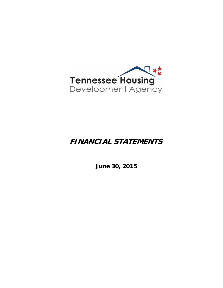

## **FINANCIAL STATEMENTS**

**June 30, 2015**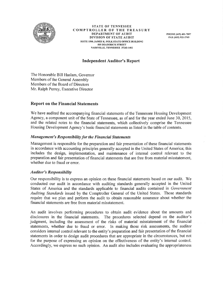

STATE OF TENNESSEE COMPTROLLER OF THE TREASURY DEPARTMENT OF AUDIT DIVISION OF STATE AUDIT SUITE I5OO, JAMES K. POLK STATE OFFICE BUILDING 505 DEADERICK STREET NASHVTLLE, TENNESSEE 37243-1402

PHONE (615) 401-7897 FAX (615) 532-2765

## Independent Auditor's Report

The Honorable Bill Haslam, Governor Members of the General Assembly Members of the Board of Directors Mr. Ralph Perrey, Executive Director

## Report on the Financial Statements

We have audited the accompanying financial statements of the Tennessee Housing Development Agency, a component unit of the State of Tennessee, as of and for the year ended June 30, 2015, and the related notes to the financial statements, which collectively comprise the Tennessee Housing Development Agency's basic financial statements as listed in the table of contents.

#### Management's Responsibility for the Financial Statements

Management is responsible for the preparation and fair presentation of these financial statements in accordance with accounting principles generally accepted in the United States of America; this includes the design, implementation, and maintenance of internal control relevant to the preparation and fair presentation of financial statements that are free from material misstatement, whether due to fraud or error.

#### **Auditor's Responsibility**

Our responsibility is to express an opinion on these financial statements based on our audit. We conducted our audit in accordance with auditing standards generally accepted in the United States of America and the standards applicable to financial audits contained in *Government* Auditing Standards issued by the Comptroller General of the United States. Those standards require that we plan and perform the audit to obtain reasonable assurance about whether the financial statements are free from material misstatement.

An audit involves performing procedures to obtain audit evidence about the amounts and disclosures in the frnancial statements. The procedures selected depend on the auditor's judgment, including the assessment of the risks of material misstatement of the financial statements, whether due to fraud or error. In making those risk assessments, the auditor considers internal control relevant to the entity's preparation and fair presentation of the financial statements in order to design audit procedures that are appropriate in the circumstances, but not for the purpose of expressing an opinion on the effectiveness of the entity's internal control. Accordingly, we express no such opinion. An audit also includes evaluating the appropriateness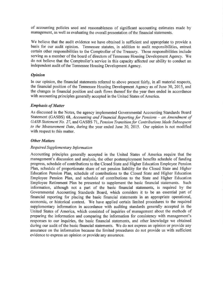of accounting policies used and reasonableness of significant accounting estimates made by management, as well as evaluating the overall presentation of the financial statements.

We believe that the audit evidence we have obtained is sufficient and appropriate to provide a basis for our audit opinion. Tennessee statutes, in addition to audit responsibilities, entrust certain other responsibilities to the Comptroller of the Treasury. Those responsibilities include serving as a member of the board of directors of Tennessee Housing Development Agency. We do not believe that the Comptroller's service in this capacity affected our ability to conduct an independent audit of the Tennessee Housing Development Agency.

#### **Opinion**

In our opinion, the financial statements referred to above present fairly, in all material respects, the fìnancial position of the Tennessee Housing Development Agency as of June 30,2015, and the changes in financial position and cash flows thereof for the year then ended in accordance with accounting principles generally accepted in the United States of America.

#### **Emphasis of Matter**

As discussed in the Notes, the agency implemented Governmental Accounting Standards Board Statement (GASBS) 68, Accounting and Financial Reporting for Pensions - an Amendment of GASB Statement No. 27, and GASBS 71, Pension Transition for Contributions Made Subsequent to the Measurement Date, during the year ended June 30, 2015. Our opinion is not modified with respect to this matter.

#### **Other Matters**

#### Required Supplementary Information

Accounting principles generally accepted in the United States of America require that the management's discussion and analysis, the other postemployment benefits schedule of funding progress, schedule of contributions to the Closed State and Higher Education Employee Pension Plan, schedule of proportionate share of net pension liability for the Closed State and Higher Education Pension Plan, schedule of contributions to the Closed State and Higher Education Employee Pension Plan, and schedule of contributions to the State and Higher Education Employee Retirement Plan be presented to supplement the basic frnancial statements. Such information, although not a part of the basic financial statements, is required by the Governmental Accounting Standards Board, which considers it to be an essential part of financial reporting for placing the basic financial statements in an appropriate operational, economic, or historical context. We have applied certain limited procedures to the required supplementary information in accordance with auditing standards generally accepted in the United States of America, which consisted of inquiries of management about the methods of preparing the information and comparing the information for consistency with management's responses to our inquiries, the basic financial statements, and other knowledge we obtained during our audit of the basic financial statements. We do not express an opinion or provide any assurance on the information because the limited procedures do not provide us with sufficient evidence to express an opinion or provide any assurance.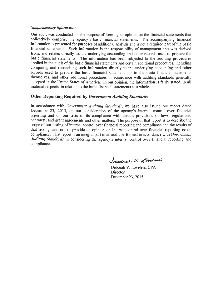#### Supplementary Information

Our audit was conducted for the purpose of forming an opinion on the financial statements that collectively comprise the agency's basic financial statements. The accompanying frnancial information is presented for purposes of additional analysis and is not a required part of the basic financial statements. Such information is the responsibility of management and was derived from, and relates directly to, the underlying accounting and other records used to prepare the basic financial statements. The information has been subjected to the auditing procedures applied in the audit of the basic fìnancial statements and certain additional procedures, including comparing and reconciling such information directly to the underlying accounting and other records used to prepare the basic financial statements or to the basic financial statements themselves, and other additional procedures in accordance with auditing standards generally accepted in the United States of America. In our opinion, the information is fairly stated, in all material respects, in relation to the basic financial statements as a whole.

#### Other Reporting Required by Government Auditing Standards

In accordance with Government Auditing Standards, we have also issued our report dated December 23, 2015, on our consideration of the agency's internal control over financial reporting and on our tests of its compliance with certain provisions of laws, regulations, contracts, and grant agreements and other matters. The purpose of that report is to describe the scope of our testing of internal control over financial reporting and compliance and the results of that testing, and not to provide an opinion on internal control over financial reporting or on compliance. That report is an integral part of an audit performed in accordance with Government Auditing Standards in considering the agency's internal control over financial reporting and compliance.

Seporal U. Loreline

Deborah V. Loveless, CPA **Director** December 23,2015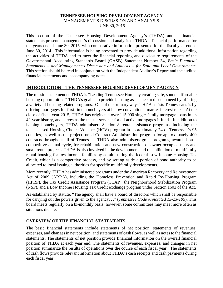This section of the Tennessee Housing Development Agency's (THDA) annual financial statements presents management's discussion and analysis of THDA's financial performance for the years ended June 30, 2015, with comparative information presented for the fiscal year ended June 30, 2014. This information is being presented to provide additional information regarding the activities of THDA and to meet the financial reporting and disclosure requirements of the Governmental Accounting Standards Board (GASB) Statement Number 34, *Basic Financial Statements -- and Management's Discussion and Analysis -- for State and Local Governments.* This section should be read in conjunction with the Independent Auditor's Report and the audited financial statements and accompanying notes.

## **INTRODUCTION – THE TENNESSEE HOUSING DEVELOPMENT AGENCY**

The mission statement of THDA is "Leading Tennessee Home by creating safe, sound, affordable housing opportunities." THDA's goal is to provide housing assistance to those in need by offering a variety of housing-related programs. One of the primary ways THDA assists Tennesseans is by offering mortgages for first-time homebuyers at below conventional market interest rates. At the close of fiscal year 2015, THDA has originated over 115,000 single-family mortgage loans in its 42-year history, and serves as the master servicer for all active mortgages it funds. In addition to helping homebuyers, THDA administers Section 8 rental assistance programs, including the tenant-based Housing Choice Voucher (HCV) program in approximately 74 of Tennessee's 95 counties, as well as the project-based Contract Administration program for approximately 400 contracts throughout all of Tennessee. THDA also administers grant programs, awarded on a competitive annual cycle, for rehabilitation and new construction of owner-occupied units and small rental projects. THDA is also involved in the development and rehabilitation of multifamily rental housing for low-income families by administering the federal Low-Income Housing Tax Credit, which is a competitive process, and by setting aside a portion of bond authority to be allocated to local issuing authorities for specific multifamily developments.

More recently, THDA has administered programs under the American Recovery and Reinvestment Act of 2009 (ARRA), including the Homeless Prevention and Rapid Re-Housing Program (HPRP), the Tax Credit Assistance Program (TCAP), the Neighborhood Stabilization Program (NSP), and a Low Income Housing Tax Credit exchange program under Section 1602 of the Act.

As established by statute, "The agency shall have a board of directors which shall be responsible for carrying out the powers given to the agency. . ." (*Tennessee Code Annotated 13-23-105*). This board meets regularly on a bi-monthly basis; however, some committees may meet more often as situations dictate.

## **OVERVIEW OF THE FINANCIAL STATEMENTS**

The basic financial statements include statements of net position; statements of revenues, expenses, and changes in net position; and statements of cash flows, as well as notes to the financial statements. The statements of net position provide financial information on the overall financial position of THDA at each year end. The statements of revenues, expenses, and changes in net position summarize the results of operations over the course of each fiscal year. The statements of cash flows provide relevant information about THDA's cash receipts and cash payments during each fiscal year.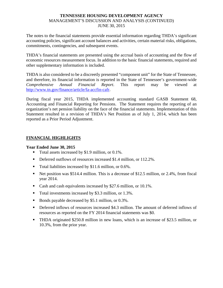The notes to the financial statements provide essential information regarding THDA's significant accounting policies, significant account balances and activities, certain material risks, obligations, commitments, contingencies, and subsequent events.

THDA's financial statements are presented using the accrual basis of accounting and the flow of economic resources measurement focus. In addition to the basic financial statements, required and other supplementary information is included.

THDA is also considered to be a discreetly presented "component unit" for the State of Tennessee, and therefore, its financial information is reported in the State of Tennessee's government-wide *Comprehensive Annual Financial Report*. This report may be viewed at http://www.tn.gov/finance/article/fa-accfin-cafr.

During fiscal year 2015, THDA implemented accounting standard GASB Statement 68, Accounting and Financial Reporting for Pensions. The Statement requires the reporting of an organization's net pension liability on the face of the financial statements. Implementation of this Statement resulted in a revision of THDA's Net Position as of July 1, 2014, which has been reported as a Prior Period Adjustment.

## **FINANCIAL HIGHLIGHTS**

#### **Year Ended June 30, 2015**

- Total assets increased by \$1.9 million, or 0.1%.
- Deferred outflows of resources increased \$1.4 million, or 112.2%.
- Total liabilities increased by \$11.6 million, or 0.6%.
- Net position was \$514.4 million. This is a decrease of \$12.5 million, or 2.4%, from fiscal year 2014.
- Cash and cash equivalents increased by \$27.6 million, or 10.1%.
- Total investments increased by \$3.3 million, or 1.3%.
- Bonds payable decreased by \$5.1 million, or 0.3%.
- Deferred inflows of resources increased \$4.3 million. The amount of deferred inflows of resources as reported on the FY 2014 financial statements was \$0.
- THDA originated \$250.8 million in new loans, which is an increase of \$23.5 million, or 10.3%, from the prior year.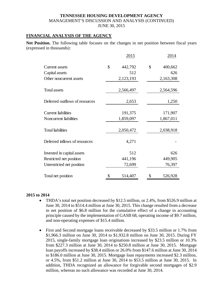#### **FINANCIAL ANALYSIS OF THE AGENCY**

Net Position. The following table focuses on the changes in net position between fiscal years (expressed in thousands):

|                                | 2015          | 2014          |
|--------------------------------|---------------|---------------|
|                                |               |               |
| Current assets                 | \$<br>442,792 | \$<br>400,662 |
| Capital assets                 | 512           | 626           |
| Other noncurrent assets        | 2,123,193     | 2,163,308     |
|                                |               |               |
| <b>Total assets</b>            | 2,566,497     | 2,564,596     |
|                                |               |               |
| Deferred outflows of resources | 2,653         | 1,250         |
|                                |               |               |
| <b>Current liabilities</b>     | 191,375       | 171,907       |
| Noncurrent liabilities         | 1,859,097     | 1,867,011     |
|                                |               |               |
| <b>Total liabilities</b>       | 2,050,472     | 2,038,918     |
|                                |               |               |
| Deferred inflows of resources  | 4,271         |               |
|                                |               |               |
| Invested in capital assets     | 512           | 626           |
| Restricted net position        | 441,196       | 449,905       |
| Unrestricted net position      | 72,699        | 76,397        |
|                                |               |               |
| Total net position             | \$<br>514,407 | \$<br>526,928 |

#### **2015 to 2014**

- THDA's total net position decreased by \$12.5 million, or 2.4%, from \$526.9 million at June 30, 2014 to \$514.4 million at June 30, 2015. This change resulted from a decrease in net position of \$6.8 million for the cumulative effect of a change in accounting principle caused by the implementation of GASB 68, operating income of \$9.7 million, and non-operating expenses of \$15.4 million.
- First and Second mortgage loans receivable decreased by \$33.5 million or 1.7% from \$1,966.3 million on June 30, 2014 to \$1,932.8 million on June 30, 2015. During FY 2015, single-family mortgage loan originations increased by \$23.5 million or 10.3% from \$227.3 million at June 30, 2014 to \$250.8 million at June 30, 2015. Mortgage loan payoffs increased by \$38.4 million or 26.0% from \$147.6 million at June 30, 2014 to \$186.0 million at June 30, 2015. Mortgage loan repayments increased \$2.3 million, or 4.5%, from \$51.2 million at June 30, 2014 to \$53.5 million at June 30, 2015. In addition, THDA recognized an allowance for forgivable second mortgages of \$2.9 million, whereas no such allowance was recorded at June 30, 2014.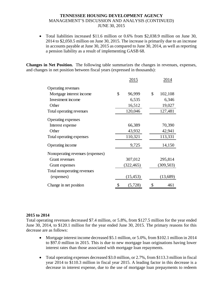Total liabilities increased \$11.6 million or 0.6% from \$2,038.9 million on June 30, 2014 to \$2,050.5 million on June 30, 2015. The increase is primarily due to an increase in accounts payable at June 30, 2015 as compared to June 30, 2014, as well as reporting a pension liability as a result of implementing GASB 68.

**Changes in Net Position.** The following table summarizes the changes in revenues, expenses, and changes in net position between fiscal years (expressed in thousands):

|                                  | 2015          | 2014          |
|----------------------------------|---------------|---------------|
| Operating revenues               |               |               |
| Mortgage interest income         | \$<br>96,999  | \$<br>102,108 |
| Investment income                | 6,535         | 6,346         |
| Other                            | 16,512        | 19,027        |
| Total operating revenues         | 120,046       | 127,481       |
| Operating expenses               |               |               |
| Interest expense                 | 66,389        | 70,390        |
| Other                            | 43,932        | 42,941        |
| Total operating expenses         | 110,321       | 113,331       |
| Operating income                 | 9,725         | 14,150        |
| Nonoperating revenues (expenses) |               |               |
| Grant revenues                   | 307,012       | 295,814       |
| Grant expenses                   | (322, 465)    | (309, 503)    |
| Total nonoperating revenues      |               |               |
| (expenses)                       | (15, 453)     | (13,689)      |
| Change in net position           | \$<br>(5,728) | \$<br>461     |

#### **2015 to 2014**

Total operating revenues decreased \$7.4 million, or 5.8%, from \$127.5 million for the year ended June 30, 2014, to \$120.1 million for the year ended June 30, 2015. The primary reasons for this decrease are as follows:

- Mortgage interest income decreased \$5.1 million, or 5.0%, from \$102.1 million in 2014 to \$97.0 million in 2015. This is due to new mortgage loan originations having lower interest rates than those associated with mortgage loan repayments.
- Total operating expenses decreased \$3.0 million, or 2.7%, from \$113.3 million in fiscal year 2014 to \$110.3 million in fiscal year 2015. A leading factor in this decrease is a decrease in interest expense, due to the use of mortgage loan prepayments to redeem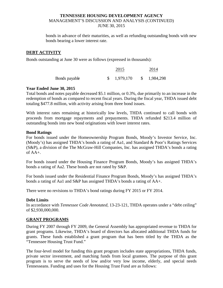bonds in advance of their maturities, as well as refunding outstanding bonds with new bonds bearing a lower interest rate.

## **DEBT ACTIVITY**

Bonds outstanding at June 30 were as follows (expressed in thousands):

|               | 2015        | 2014        |
|---------------|-------------|-------------|
| Bonds payable | \$1,979,170 | \$1,984,298 |

#### **Year Ended June 30, 2015**

Total bonds and notes payable decreased \$5.1 million, or 0.3%, due primarily to an increase in the redemption of bonds as compared to recent fiscal years. During the fiscal year, THDA issued debt totaling \$477.8 million, with activity arising from three bond issues.

With interest rates remaining at historically low levels, THDA continued to call bonds with proceeds from mortgage repayments and prepayments. THDA refunded \$213.4 million of outstanding bonds into new bond originations with lower interest rates.

#### **Bond Ratings**

For bonds issued under the Homeownership Program Bonds, Moody's Investor Service, Inc. (Moody's) has assigned THDA's bonds a rating of Aa1, and Standard & Poor's Ratings Services (S&P), a division of the The McGraw-Hill Companies, Inc. has assigned THDA's bonds a rating of AA+.

For bonds issued under the Housing Finance Program Bonds, Moody's has assigned THDA's bonds a rating of Aa2. These bonds are not rated by S&P.

For bonds issued under the Residential Finance Program Bonds, Moody's has assigned THDA's bonds a rating of Aa1 and S&P has assigned THDA's bonds a rating of AA+.

There were no revisions to THDA's bond ratings during FY 2015 or FY 2014.

#### **Debt Limits**

In accordance with *Tennessee Code Annotated,* 13-23-121, THDA operates under a "debt ceiling" of \$2,930,000,000.

#### **GRANT PROGRAMS**

During FY 2007 through FY 2009, the General Assembly has appropriated revenue to THDA for grant programs. Likewise, THDA's board of directors has allocated additional THDA funds for grants. These funds established a grant program that has been titled by the THDA as the "Tennessee Housing Trust Fund."

The four-level model for funding this grant program includes state appropriations, THDA funds, private sector investment, and matching funds from local grantees. The purpose of this grant program is to serve the needs of low and/or very low income, elderly, and special needs Tennesseans. Funding and uses for the Housing Trust Fund are as follows: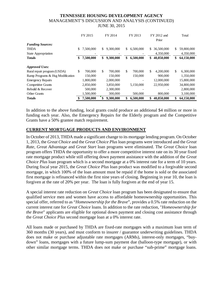|                                  | FY 2015         | FY 2014         | FY 2013         | FY 2012 and<br>Prior | Total            |
|----------------------------------|-----------------|-----------------|-----------------|----------------------|------------------|
| <b>Funding Sources:</b>          |                 |                 |                 |                      |                  |
| <b>THDA</b>                      | \$<br>7,500,000 | \$<br>9,300,000 | \$<br>6,500,000 | \$<br>36,500,000     | \$<br>59,800,000 |
| <b>State Appropriation</b>       |                 |                 |                 | 4,350,000            | 4,350,000        |
| <b>Totals</b>                    | \$<br>7,500,000 | \$<br>9,300,000 | \$<br>6,500,000 | \$<br>40,850,000     | \$<br>64,150,000 |
| <b>Approved Uses:</b>            |                 |                 |                 |                      |                  |
| Rural repair program (USDA)      | \$<br>700,000   | \$<br>700,000   | \$<br>700,000   | \$<br>4,200,000      | \$<br>6,300,000  |
| Ramp Programs & Hsg Modification | 150,000         | 150,000         | 150,000         | 900,000              | 1,350,000        |
| <b>Emergency Repairs</b>         | 1,800,000       | 2,000,000       |                 | 12,000,000           | 15,800,000       |
| <b>Competitive Grants</b>        | 2,850,000       | 3,850,000       | 5,150,000       | 22,950,000           | 34,800,000       |
| Rebuild & Recover                | 500,000         | 2,300,000       |                 |                      | 2,800,000        |
| Other Grants                     | 1,500,000       | 300,000         | 500,000         | 800,000              | 3,100,000        |
| <b>Totals</b>                    | 7,500,000       | 9,300,000       | \$<br>6.500,000 | \$<br>40.850,000     | \$<br>64,150,000 |

In addition to the above funding, local grants could produce an additional \$4 million or more in funding each year. Also, the Emergency Repairs for the Elderly program and the Competitive Grants have a 50% grantee match requirement.

## **CURRENT MORTGAGE PRODUCTS AND ENVIRONMENT**

In October of 2013, THDA made a significant change to its mortgage lending program. On October 1, 2013, the *Great Choice* and the *Great Choice Plus* loan programs were introduced and the *Great Rate*, *Great Advantage* and *Great Start* loan programs were eliminated. The *Great Choice* loan program offers THDA the opportunity to offer a more competitive interest rate on its 30 year fixed rate mortgage product while still offering down payment assistance with the addition of the *Great Choice Plus* loan program which is a second mortgage at a 0% interest rate for a term of 10 years. During fiscal year 2015, the *Great Choice Plus* loan product was modified to a forgivable second mortgage, in which 100% of the loan amount must be repaid if the home is sold or the associated first mortgage is refinanced within the first nine years of closing. Beginning in year 10, the loan is forgiven at the rate of 20% per year. The loan is fully forgiven at the end of year 15.

A special interest rate reduction on *Great Choice* loan program has been designated to ensure that qualified service men and women have access to affordable homeownership opportunities. This special offer, referred to as "*Homeownership for the Brave*", provides a 0.5% rate reduction on the current interest rate for *Great Choice* loans. In addition to the rate reduction, "*Homeownership for the Brave*" applicants are eligible for optional down payment and closing cost assistance through the *Great Choice Plus* second mortgage loan at a 0% interest rate.

All loans made or purchased by THDA are fixed-rate mortgages with a maximum loan term of 360 months (30 years), and must conform to insurer / guarantor underwriting guidelines. THDA does not make or purchase adjustable rate mortgages (ARMs), interest-only mortgages, "buydown" loans, mortgages with a future lump-sum payment due (balloon-type mortgage), or with other similar mortgage terms. THDA does not make or purchase "sub-prime" mortgage loans.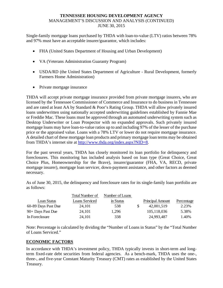Single-family mortgage loans purchased by THDA with loan-to-value (LTV) ratios between 78% and 97% must have an acceptable insurer/guarantor, which includes:

- FHA (United States Department of Housing and Urban Development)
- VA (Veterans Administration Guaranty Program)
- USDA/RD (the United States Department of Agriculture Rural Development, formerly Farmers Home Administration)
- Private mortgage insurance

THDA will accept private mortgage insurance provided from private mortgage insurers, who are licensed by the Tennessee Commissioner of Commerce and Insurance to do business in Tennessee and are rated at least AA by Standard & Poor's Rating Group. THDA will allow privately insured loans underwritten using nationally accepted underwriting guidelines established by Fannie Mae or Freddie Mac. These loans must be approved through an automated underwriting system such as Desktop Underwriter or Loan Prospector with no expanded approvals. Such privately insured mortgage loans may have loan-to-value ratios up to and including 97% of the lesser of the purchase price or the appraised value. Loans with a 78% LTV or lower do not require mortgage insurance. A detailed chart of these mortgage loan products and primary mortgage loan terms may be obtained from THDA's internet site at http://www.thda.org/index.aspx?NID=8.

For the past several years, THDA has closely monitored its loan portfolio for delinquency and foreclosures. This monitoring has included analysis based on loan type (Great Choice, Great Choice Plus, Homeownership for the Brave), insurer/guarantor (FHA, VA, RECD, private mortgage insurer), mortgage loan servicer, down-payment assistance, and other factors as deemed necessary.

As of June 30, 2015, the delinquency and foreclosure rates for its single-family loan portfolio are as follows:

|                     | <b>Total Number of</b> | Number of Loans |     |                  |            |
|---------------------|------------------------|-----------------|-----|------------------|------------|
| Loan Status         | Loans Serviced         | in Status       |     | Principal Amount | Percentage |
| 60-89 Days Past Due | 24,101                 | 538             | \$. | 42,001,519       | 2.23%      |
| 90+ Days Past Due   | 24,101                 | 1.296           |     | 105,118,036      | 5.38%      |
| In Foreclosure      | 24,101                 | 338             |     | 24,993,487       | 1.40%      |

Note: Percentage is calculated by dividing the "Number of Loans in Status" by the "Total Number of Loans Serviced."

## **ECONOMIC FACTORS**

In accordance with THDA's investment policy, THDA typically invests in short-term and longterm fixed-rate debt securities from federal agencies. As a bench-mark, THDA uses the one-, three-, and five-year Constant Maturity Treasury (CMT) rates as established by the United States Treasury.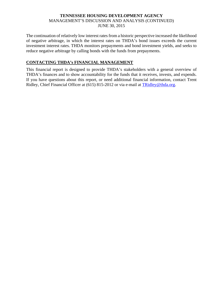The continuation of relatively low interest rates from a historic perspective increased the likelihood of negative arbitrage, in which the interest rates on THDA's bond issues exceeds the current investment interest rates. THDA monitors prepayments and bond investment yields, and seeks to reduce negative arbitrage by calling bonds with the funds from prepayments.

## **CONTACTING THDA's FINANCIAL MANAGEMENT**

This financial report is designed to provide THDA's stakeholders with a general overview of THDA's finances and to show accountability for the funds that it receives, invests, and expends. If you have questions about this report, or need additional financial information, contact Trent Ridley, Chief Financial Officer at (615) 815-2012 or via e-mail at TRidley@thda.org.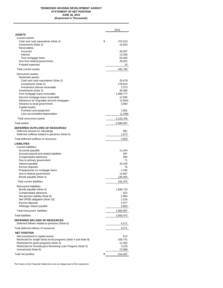#### **TENNESSEE HOUSING DEVELOPMENT AGENCY STATEMENT OF NET POSITION JUNE 30, 2015 (Expressed in Thousands)**

|                                                                                                          | 2015                    |
|----------------------------------------------------------------------------------------------------------|-------------------------|
| <b>ASSETS</b>                                                                                            |                         |
| Current assets:                                                                                          |                         |
| Cash and cash equivalents (Note 2)<br>Investments (Note 2)                                               | \$<br>275,510<br>42,603 |
| Receivables:                                                                                             |                         |
| Accounts                                                                                                 | 29,597                  |
| Interest<br>First mortgage loans                                                                         | 13,556<br>53,465        |
| Due from federal government                                                                              | 28,051                  |
| Prepaid expenses                                                                                         | 10                      |
| Total current assets                                                                                     | 442,792                 |
| Noncurrent assets:                                                                                       |                         |
| Restricted assets:<br>Cash and cash equivalents (Note 2)                                                 | 25,478                  |
| Investments (Note 2)                                                                                     | 178,624                 |
| Investment interest receivable                                                                           | 1,573                   |
| Investments (Note 2)<br>First mortgage loans receivable                                                  | 35,056<br>1,869,777     |
| Second mortgage loans receivable                                                                         | 12,505                  |
| Allowance for forgivable second mortgages                                                                | (2,904)                 |
| Advance to local government                                                                              | 3,084                   |
| Capital assets:                                                                                          |                         |
| Furniture and equipment<br>Less accumulated depreciation                                                 | 1,561<br>(1,049)        |
| Total noncurrent assets                                                                                  | 2,123,705               |
| <b>Total assets</b>                                                                                      | 2,566,497               |
| <b>DEFERRED OUTFLOWS OF RESOURCES</b>                                                                    |                         |
| Deferred amount on refundings                                                                            | 981                     |
| Deferred outflows related to pensions (Note 6)                                                           | 1,672                   |
| Total deferred outflows of resources                                                                     | 2,653                   |
| <b>LIABILITIES</b>                                                                                       |                         |
| <b>Current liabilities:</b>                                                                              |                         |
| Accounts payable<br>Accrued payroll and related liabilities                                              | 11,444<br>587           |
| Compensated absences                                                                                     | 585                     |
| Due to primary government                                                                                | 71                      |
| Interest payable                                                                                         | 32,325                  |
| Escrow deposits<br>Prepayments on mortgage loans                                                         | 76<br>1,165             |
| Due to federal government                                                                                | 14,667                  |
| Bonds payable (Note 4)                                                                                   | 130,455                 |
| <b>Total current liabilities</b>                                                                         | 191,375                 |
| Noncurrent liabilities:                                                                                  |                         |
| Bonds payable (Note 4)                                                                                   | 1,848,715<br>622        |
| Compensated absences<br>Net pension liability (Note 6)                                                   | 2,964                   |
| Net OPEB obligation (Note 10)                                                                            | 1,516                   |
| Escrow deposits                                                                                          | 2,477                   |
| Arbitrage rebate payable                                                                                 | 2,803                   |
| Total noncurrent liabilities<br><b>Total liabilities</b>                                                 | 1,859,097<br>2,050,472  |
| DEFERRED INFLOWS OF RESOURCES                                                                            |                         |
| Deferred inflows related to pensions (Note 6)                                                            | 4,271                   |
| Total deferred inflows of resources                                                                      | 4,271                   |
| <b>NET POSITION</b>                                                                                      |                         |
| Net investment in capital assets                                                                         | 512                     |
| Restricted for single family bond programs (Note 5 and Note 8)<br>Restricted for grant programs (Note 5) | 426,741<br>11,302       |
| Restricted for Homebuyers Revolving Loan Program (Note 5)                                                | 3,153                   |
| Unrestricted (Note 8)                                                                                    | 72,699                  |
| Total net position                                                                                       | \$<br>514,407           |

The Notes to the Financial Statements are an integral part of this statement.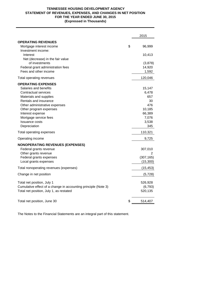#### **TENNESSEE HOUSING DEVELOPMENT AGENCY STATEMENT OF REVENUES, EXPENSES, AND CHANGES IN NET POSITION FOR THE YEAR ENDED JUNE 30, 2015 (Expressed in Thousands)**

2015 **OPERATING REVENUES** Mortgage interest income  $\qquad \qquad$  96,999 Investment income: Interest 10,413 Net (decrease) in the fair value of investments (3,878) Federal grant administration fees 14,920 Fees and other income 1,592 Total operating revenues **120,046 OPERATING EXPENSES** Salaries and benefits 15,147 Contractual services 6,478 Materials and supplies **657** Rentals and insurance 30 Other administrative expenses 476 Other program expenses 10,185 Interest expense 66,389 Mortgage service fees 7,076 Issuance costs 3,538 Depreciation 345 Total operating expenses 110,321 Operating income 9,725 **NONOPERATING REVENUES (EXPENSES)** Federal grants revenue 307,010 Other grants revenue 2000 and 2000 and 2000 and 2000 and 2000 and 2000 and 2000 and 2000 and 2000 and 2000 and 2000 and 2000 and 2000 and 2000 and 2000 and 2000 and 2000 and 2000 and 2000 and 2000 and 2000 and 2000 and 200 Federal grants expenses (307,165) Local grants expenses (15,300) Total nonoperating revenues (expenses) (15,453) Change in net position (5,728) Total net position, July 1 526,928 Cumulative effect of a change in accounting principle (Note 3) (6,793) Total net position, July 1, as restated 520,135 Total net position, June 30  $$514,407$ 

The Notes to the Financial Statements are an integral part of this statement.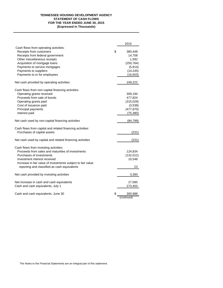#### **TENNESSEE HOUSING DEVELOPMENT AGENCY STATEMENT OF CASH FLOWS FOR THE YEAR ENDED JUNE 30, 2015 (Expressed in Thousands)**

|                                                             | 2015          |
|-------------------------------------------------------------|---------------|
| Cash flows from operating activities:                       |               |
| Receipts from customers                                     | \$<br>380,448 |
| Receipts from federal government                            | 14,708        |
| Other miscellaneous receipts                                | 1,592         |
| Acquisition of mortgage loans                               | (250, 764)    |
| Payments to service mortgages                               | (5, 914)      |
| Payments to suppliers                                       | (14, 245)     |
| Payments to or for employees                                | (16, 603)     |
| Net cash provided by operating activities                   | 109,222       |
| Cash flows from non-capital financing activities:           |               |
| Operating grants received                                   | 309,194       |
| Proceeds from sale of bonds                                 | 477,824       |
| Operating grants paid                                       | (315,029)     |
| Cost of issuance paid                                       | (3,538)       |
| Principal payments                                          | (477, 870)    |
| Interest paid                                               | (75, 380)     |
| Net cash used by non-capital financing activities           | (84, 799)     |
| Cash flows from capital and related financing activities:   |               |
| Purchases of capital assets                                 | (231)         |
| Net cash used by capital and related financing activities   | (231)         |
| Cash flows from investing activities:                       |               |
| Proceeds from sales and maturities of investments           | 124,834       |
| Purchases of investments                                    | (132, 012)    |
| Investment interest received                                | 10,548        |
| Increase in fair value of investments subject to fair value |               |
| reporting and classified as cash equivalents                | 23            |
| Net cash provided by investing activities                   | 3,393         |
| Net increase in cash and cash equivalents                   | 27,585        |
| Cash and cash equivalents, July 1                           | 273,403       |
| Cash and cash equivalents, June 30                          | 300,988       |
|                                                             | (continued)   |
|                                                             |               |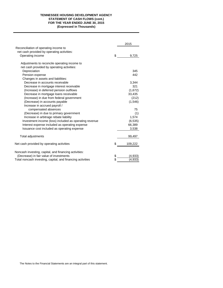#### **(Expressed in Thousands) TENNESSEE HOUSING DEVELOPMENT AGENCY STATEMENT OF CASH FLOWS (cont.) FOR THE YEAR ENDED JUNE 30, 2015**

|                                                            | 2015          |
|------------------------------------------------------------|---------------|
| Reconciliation of operating income to                      |               |
| net cash provided by operating activities:                 |               |
| Operating income                                           | \$<br>9,725   |
|                                                            |               |
| Adjustments to reconcile operating income to               |               |
| net cash provided by operating activities:                 |               |
| Depreciation                                               | 345           |
| Pension expense                                            | 442           |
| Changes in assets and liabilities:                         |               |
| Decrease in accounts receivable                            | 3,344         |
| Decrease in mortgage interest receivable                   | 321           |
| (Increase) in deferred pension outflows                    | (1,672)       |
| Decrease in mortgage loans receivable                      | 33,435        |
| (Increase) in due from federal government                  | (212)         |
| (Decrease) in accounts payable                             | (1,546)       |
| Increase in accrued payroll /                              |               |
| compensated absences                                       | 75            |
| (Decrease) in due to primary government                    | (1)           |
| Increase in arbitrage rebate liability                     | 1,574         |
| Investment income (loss) included as operating revenue     | (6, 535)      |
| Interest expense included as operating expense             | 66,389        |
| Issuance cost included as operating expense                | 3,538         |
| <b>Total adjustments</b>                                   | 99,497        |
|                                                            |               |
| Net cash provided by operating activities                  | \$<br>109,222 |
| Noncash investing, capital, and financing activities:      |               |
| (Decrease) in fair value of investments                    | \$<br>(4,933) |
| Total noncash investing, capital, and financing activities | \$<br>(4,933) |
|                                                            |               |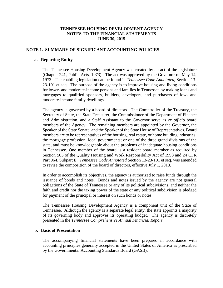#### **NOTE 1. SUMMARY OF SIGNIFICANT ACCOUNTING POLICIES**

#### **a. Reporting Entity**

The Tennessee Housing Development Agency was created by an act of the legislature (Chapter 241, Public Acts, 1973). The act was approved by the Governor on May 14, 1973. The enabling legislation can be found in *Tennessee Code Annotated*, Section 13- 23-101 et seq. The purpose of the agency is to improve housing and living conditions for lower- and moderate-income persons and families in Tennessee by making loans and mortgages to qualified sponsors, builders, developers, and purchasers of low- and moderate-income family dwellings.

The agency is governed by a board of directors. The Comptroller of the Treasury, the Secretary of State, the State Treasurer, the Commissioner of the Department of Finance and Administration, and a Staff Assistant to the Governor serve as *ex officio* board members of the Agency. The remaining members are appointed by the Governor, the Speaker of the State Senate, and the Speaker of the State House of Representatives. Board members are to be representatives of the housing, real estate, or home building industries; the mortgage profession; local governments; or one of the three grand divisions of the state, and must be knowledgeable about the problems of inadequate housing conditions in Tennessee. One member of the board is a resident board member as required by Section 505 of the Quality Housing and Work Responsibility Act of 1998 and 24 CFR Part 964, Subpart E. *Tennessee Code Annotated* Section 13-23-101 et seq. was amended to revise the composition of the board of directors, effective July 1, 2013.

In order to accomplish its objectives, the agency is authorized to raise funds through the issuance of bonds and notes. Bonds and notes issued by the agency are not general obligations of the State of Tennessee or any of its political subdivisions, and neither the faith and credit nor the taxing power of the state or any political subdivision is pledged for payment of the principal or interest on such bonds or notes.

The Tennessee Housing Development Agency is a component unit of the State of Tennessee. Although the agency is a separate legal entity, the state appoints a majority of its governing body and approves its operating budget. The agency is discretely presented in the *Tennessee Comprehensive Annual Financial Report*.

#### **b. Basis of Presentation**

The accompanying financial statements have been prepared in accordance with accounting principles generally accepted in the United States of America as prescribed by the Governmental Accounting Standards Board (GASB).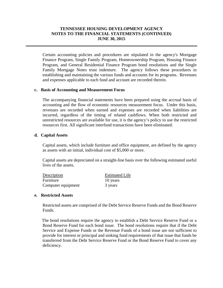Certain accounting policies and procedures are stipulated in the agency's Mortgage Finance Program, Single Family Program, Homeownership Program, Housing Finance Program, and General Residential Finance Program bond resolutions and the Single Family Mortgage Notes trust indenture. The agency follows these procedures in establishing and maintaining the various funds and accounts for its programs. Revenues and expenses applicable to each fund and account are recorded therein.

#### **c. Basis of Accounting and Measurement Focus**

 The accompanying financial statements have been prepared using the accrual basis of accounting and the flow of economic resources measurement focus. Under this basis, revenues are recorded when earned and expenses are recorded when liabilities are incurred, regardless of the timing of related cashflows. When both restricted and unrestricted resources are available for use, it is the agency's policy to use the restricted resources first. All significant interfund transactions have been eliminated.

#### **d. Capital Assets**

Capital assets, which include furniture and office equipment, are defined by the agency as assets with an initial, individual cost of \$5,000 or more.

Capital assets are depreciated on a straight-line basis over the following estimated useful lives of the assets.

| Description        | <b>Estimated Life</b> |
|--------------------|-----------------------|
| Furniture          | 10 years              |
| Computer equipment | 3 years               |

#### **e. Restricted Assets**

 Restricted assets are comprised of the Debt Service Reserve Funds and the Bond Reserve Funds.

The bond resolutions require the agency to establish a Debt Service Reserve Fund or a Bond Reserve Fund for each bond issue. The bond resolutions require that if the Debt Service and Expense Funds or the Revenue Funds of a bond issue are not sufficient to provide for interest or principal and sinking fund requirements of that issue that funds be transferred from the Debt Service Reserve Fund or the Bond Reserve Fund to cover any deficiency.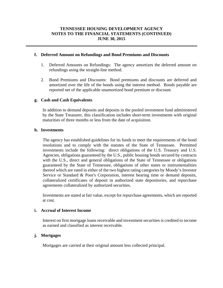#### **f. Deferred Amount on Refundings and Bond Premiums and Discounts**

- 1. Deferred Amounts on Refundings: The agency amortizes the deferred amount on refundings using the straight-line method.
- 2. Bond Premiums and Discounts: Bond premiums and discounts are deferred and amortized over the life of the bonds using the interest method. Bonds payable are reported net of the applicable unamortized bond premium or discount.

## **g. Cash and Cash Equivalents**

 In addition to demand deposits and deposits in the pooled investment fund administered by the State Treasurer, this classification includes short-term investments with original maturities of three months or less from the date of acquisition.

#### **h. Investments**

The agency has established guidelines for its funds to meet the requirements of the bond resolutions and to comply with the statutes of the State of Tennessee. Permitted investments include the following: direct obligations of the U.S. Treasury and U.S. Agencies, obligations guaranteed by the U.S., public housing bonds secured by contracts with the U.S., direct and general obligations of the State of Tennessee or obligations guaranteed by the State of Tennessee, obligations of other states or instrumentalities thereof which are rated in either of the two highest rating categories by Moody's Investor Service or Standard & Poor's Corporation, interest bearing time or demand deposits, collateralized certificates of deposit in authorized state depositories, and repurchase agreements collateralized by authorized securities.

 Investments are stated at fair value, except for repurchase agreements, which are reported at cost.

#### **i. Accrual of Interest Income**

 Interest on first mortgage loans receivable and investment securities is credited to income as earned and classified as interest receivable.

## **j. Mortgages**

Mortgages are carried at their original amount less collected principal.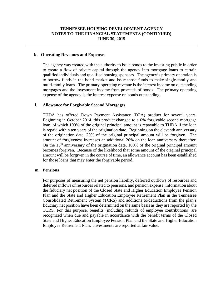#### **k. Operating Revenues and Expenses**

 The agency was created with the authority to issue bonds to the investing public in order to create a flow of private capital through the agency into mortgage loans to certain qualified individuals and qualified housing sponsors. The agency's primary operation is to borrow funds in the bond market and issue those funds to make single-family and multi-family loans. The primary operating revenue is the interest income on outstanding mortgages and the investment income from proceeds of bonds. The primary operating expense of the agency is the interest expense on bonds outstanding.

#### **l. Allowance for Forgivable Second Mortgages**

 THDA has offered Down Payment Assistance (DPA) product for several years. Beginning in October 2014, this product changed to a 0% forgivable second mortgage loan, of which 100% of the original principal amount is repayable to THDA if the loan is repaid within ten years of the origination date. Beginning on the eleventh anniversary of the origination date, 20% of the original principal amount will be forgiven. The amount of forgiveness increases an additional 20% on the loan anniversary thereafter. On the  $15<sup>th</sup>$  anniversary of the origination date, 100% of the original principal amount becomes forgiven. Because of the likelihood that some amount of the original principal amount will be forgiven in the course of time, an allowance account has been established for those loans that may enter the forgivable period.

#### **m. Pensions**

For purposes of measuring the net pension liability, deferred outflows of resources and deferred inflows of resources related to pensions, and pension expense, information about the fiduciary net position of the Closed State and Higher Education Employee Pension Plan and the State and Higher Education Employee Retirement Plan in the Tennessee Consolidated Retirement System (TCRS) and additions to/deductions from the plan's fiduciary net position have been determined on the same basis as they are reported by the TCRS. For this purpose, benefits (including refunds of employee contributions) are recognized when due and payable in accordance with the benefit terms of the Closed State and Higher Education Employee Pension Plan and the State and Higher Education Employee Retirement Plan. Investments are reported at fair value.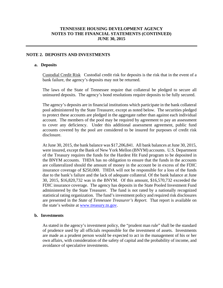#### **NOTE 2. DEPOSITS AND INVESTMENTS**

#### **a. Deposits**

Custodial Credit Risk Custodial credit risk for deposits is the risk that in the event of a bank failure, the agency's deposits may not be returned.

The laws of the State of Tennessee require that collateral be pledged to secure all uninsured deposits. The agency's bond resolutions require deposits to be fully secured.

The agency's deposits are in financial institutions which participate in the bank collateral pool administered by the State Treasurer, except as noted below. The securities pledged to protect these accounts are pledged in the aggregate rather than against each individual account. The members of the pool may be required by agreement to pay an assessment to cover any deficiency. Under this additional assessment agreement, public fund accounts covered by the pool are considered to be insured for purposes of credit risk disclosure.

At June 30, 2015, the bank balance was \$17,206,841. All bank balances at June 30, 2015, were insured, except the Bank of New York Mellon (BNYM) accounts. U.S. Department of the Treasury requires the funds for the Hardest Hit Fund program to be deposited in the BNYM accounts. THDA has no obligation to ensure that the funds in the accounts are collateralized should the amount of money in the account be in excess of the FDIC insurance coverage of \$250,000. THDA will not be responsible for a loss of the funds due to the bank's failure and the lack of adequate collateral. Of the bank balance at June 30, 2015, \$16,820,732 was in the BNYM. Of this amount, \$16,570,732 exceeded the FDIC insurance coverage. The agency has deposits in the State Pooled Investment Fund administered by the State Treasurer. The fund is not rated by a nationally recognized statistical rating organization. The fund's investment policy and required risk disclosures are presented in the *State of Tennessee Treasurer's Report.* That report is available on the state's website at **www.treasury.tn.gov.** 

#### **b. Investments**

As stated in the agency's investment policy, the "prudent man rule" shall be the standard of prudence used by all officials responsible for the investment of assets. Investments are made as a prudent person would be expected to act in the management of his or her own affairs, with consideration of the safety of capital and the probability of income, and avoidance of speculative investments.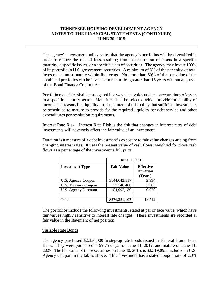The agency's investment policy states that the agency's portfolios will be diversified in order to reduce the risk of loss resulting from concentration of assets in a specific maturity, a specific issuer, or a specific class of securities. The agency may invest 100% of its portfolio in U.S. government securities. A minimum of 5% of the par value of total investments must mature within five years. No more than 50% of the par value of the combined portfolios can be invested in maturities greater than 15 years without approval of the Bond Finance Committee.

Portfolio maturities shall be staggered in a way that avoids undue concentrations of assets in a specific maturity sector. Maturities shall be selected which provide for stability of income and reasonable liquidity. It is the intent of this policy that sufficient investments be scheduled to mature to provide for the required liquidity for debt service and other expenditures per resolution requirements.

Interest Rate Risk Interest Rate Risk is the risk that changes in interest rates of debt investments will adversely affect the fair value of an investment.

 Duration is a measure of a debt investment's exposure to fair value changes arising from changing interest rates. It uses the present value of cash flows, weighted for those cash flows as a percentage of the investment's full price.

|                             | June 30, 2015     |                                                |  |  |  |
|-----------------------------|-------------------|------------------------------------------------|--|--|--|
| <b>Investment Type</b>      | <b>Fair Value</b> | <b>Effective</b><br><b>Duration</b><br>(Years) |  |  |  |
| U.S. Agency Coupon          | \$144,042,517     | 2.994                                          |  |  |  |
| <b>U.S. Treasury Coupon</b> | 77,246,460        | 2.305                                          |  |  |  |
| <b>U.S. Agency Discount</b> | 154,992,130       | 0.076                                          |  |  |  |
|                             |                   |                                                |  |  |  |
| Total                       | \$376,281,107     | 1.6512                                         |  |  |  |

The portfolios include the following investments, stated at par or face value, which have fair values highly sensitive to interest rate changes. These investments are recorded at fair value in the statement of net position.

#### Variable Rate Bonds

The agency purchased \$2,350,000 in step-up rate bonds issued by Federal Home Loan Bank. They were purchased at 99.75 of par on June 11, 2012, and mature on June 11, 2027. The fair value of these securities on June 30, 2015, is \$2,319,095, included in U.S. Agency Coupon in the tables above. This investment has a stated coupon rate of 2.0%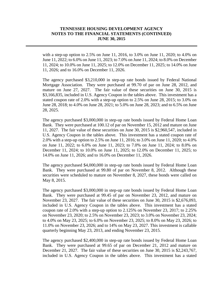with a step-up option to 2.5% on June 11, 2016, to 3.0% on June 11, 2020; to 4.0% on June 11, 2022; to 6.0% on June 11, 2023; to 7.0% on June 11, 2024; to 8.0% on December 11, 2024; to 10.0% on June 11, 2025; to 12.0% on December 11, 2025; to 14.0% on June 11, 2026; and to 16.0% on December 11, 2026.

The agency purchased \$3,210,000 in step-up rate bonds issued by Federal National Mortgage Association. They were purchased at 99.70 of par on June 28, 2012, and mature on June 27, 2027. The fair value of these securities on June 30, 2015 is \$3,166,835, included in U.S. Agency Coupon in the tables above. This investment has a stated coupon rate of 2.0% with a step-up option to 2.5% on June 28, 2015; to 3.0% on June 28, 2018; to 4.0% on June 28, 2021; to 5.0% on June 28, 2023; and to 6.5% on June 28, 2025.

The agency purchased \$3,000,000 in step-up rate bonds issued by Federal Home Loan Bank. They were purchased at 100.12 of par on November 15, 2012 and mature on June 11, 2027. The fair value of these securities on June 30, 2015 is \$2,960,547, included in U.S. Agency Coupon in the tables above. This investment has a stated coupon rate of 2.0% with a step-up option to 2.5% on June 11, 2016; to 3.0% on June 11, 2020; to 4.0% on June 11, 2022; to 6.0% on June 11, 2023; to 7.0% on June 11, 2024; to 8.0% on December 11, 2024; to 10.0% on June 11, 2025; to 12.0% on December 11, 2025; to 14.0% on June 11, 2026; and to 16.0% on December 11, 2026.

The agency purchased \$4,000,000 in step-up rate bonds issued by Federal Home Loan Bank. They were purchased at 99.80 of par on November 8, 2012. Although these securities were scheduled to mature on November 8, 2027, these bonds were called on May 8, 2015.

The agency purchased \$3,000,000 in step-up rate bonds issued by Federal Home Loan Bank. They were purchased at 99.45 of par on November 23, 2012, and mature on November 23, 2027. The fair value of these securities on June 30, 2015 is \$2,676,093, included in U.S. Agency Coupon in the tables above. This investment has a stated coupon rate of 2.0% with a step-up option to 2.125% on November 23, 2017; to 2.25% on November 23, 2020; to 2.5% on November 23, 2023; to 3.0% on November 23, 2024; to 4.0% on May 23, 2025; to 6.0% on November 23, 2025; to 8.0% on May 23, 2026; to 11.0% on November 23, 2026; and to 14% on May 23, 2027. This investment is callable quarterly beginning May 23, 2013, and ending November 23, 2015.

The agency purchased \$2,400,000 in step-up rate bonds issued by Federal Home Loan Bank. They were purchased at 99.65 of par on December 21, 2012 and mature on December 21, 2027. The fair value of these securities on June 30, 2015 is \$2,243,767, included in U.S. Agency Coupon in the tables above. This investment has a stated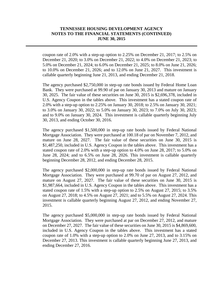coupon rate of 2.0% with a step-up option to 2.25% on December 21, 2017; to 2.5% on December 21, 2020; to 3.0% on December 21, 2022; to 4.0% on December 21, 2023; to 5.0% on December 21, 2024; to 6.0% on December 21, 2025; to 8.0% on June 21, 2026; to 10.0% on December 21, 2026; and to 12.0% on June 21, 2027. This investment is callable quarterly beginning June 21, 2013, and ending December 21, 2018.

The agency purchased \$2,750,000 in step-up rate bonds issued by Federal Home Loan Bank. They were purchased at 99.90 of par on January 30, 2013 and mature on January 30, 2025. The fair value of these securities on June 30, 2015 is \$2,696,378, included in U.S. Agency Coupon in the tables above. This investment has a stated coupon rate of 2.0% with a step-up option to 2.25% on January 30, 2018; to 2.5% on January 30, 2021; to 3.0% on January 30, 2022; to 5.0% on January 30, 2023; to 7.0% on July 30, 2023; and to 9.0% on January 30, 2024. This investment is callable quarterly beginning July 30, 2013, and ending October 30, 2016.

The agency purchased \$1,500,000 in step-up rate bonds issued by Federal National Mortgage Association. They were purchased at 100.18 of par on November 7, 2012, and mature on June 28, 2027. The fair value of these securities on June 30, 2015 is \$1,487,250, included in U.S. Agency Coupon in the tables above. This investment has a stated coupon rate of 2.0% with a step-up option to 4.0% on June 28, 2017; to 5.0% on June 28, 2024; and to 6.5% on June 28, 2026. This investment is callable quarterly beginning December 28, 2012, and ending December 28, 2015.

The agency purchased \$2,000,000 in step-up rate bonds issued by Federal National Mortgage Association. They were purchased at 99.70 of par on August 27, 2012, and mature on August 27, 2027. The fair value of these securities on June 30, 2015 is \$1,987,664, included in U.S. Agency Coupon in the tables above. This investment has a stated coupon rate of 1.5% with a step-up option to 2.5% on August 27, 2015; to 3.5% on August 27, 2018; to 4.5% on August 27, 2021; and to 5.5% on August 27, 2024. This investment is callable quarterly beginning August 27, 2012, and ending November 27, 2015.

The agency purchased \$5,000,000 in step-up rate bonds issued by Federal National Mortgage Association. They were purchased at par on December 27, 2012, and mature on December 27, 2027. The fair value of these securities on June 30, 2015 is \$4,869,600, included in U.S. Agency Coupon in the tables above. This investment has a stated coupon rate of 1.0% with a step-up option to 2.0% on June 27, 2013, and to 3.15% on December 27, 2013. This investment is callable quarterly beginning June 27, 2013, and ending December 27, 2016.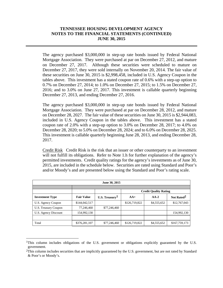The agency purchased \$3,000,000 in step-up rate bonds issued by Federal National Mortgage Association. They were purchased at par on December 27, 2012, and mature on December 27, 2017. Although these securities were scheduled to mature on December 27, 2017, they were sold internally on November 20, 2014. The fair value of these securities on June 30, 2015 is \$2,998,458, included in U.S. Agency Coupon in the tables above. This investment has a stated coupon rate of 0.6% with a step-up option to 0.7% on December 27, 2014; to 1.0% on December 27, 2015; to 1.5% on December 27, 2016; and to 3.0% on June 27, 2017. This investment is callable quarterly beginning December 27, 2013, and ending December 27, 2016.

The agency purchased \$3,000,000 in step-up rate bonds issued by Federal National Mortgage Association. They were purchased at par on December 28, 2012, and mature on December 28, 2027. The fair value of these securities on June 30, 2015 is \$2,944,083, included in U.S. Agency Coupon in the tables above. This investment has a stated coupon rate of 2.0% with a step-up option to 3.0% on December 28, 2017; to 4.0% on December 28, 2020; to 5.0% on December 28, 2024; and to 6.0% on December 28, 2025. This investment is callable quarterly beginning June 28, 2013, and ending December 28, 2017.

Credit Risk Credit Risk is the risk that an issuer or other counterparty to an investment will not fulfill its obligations. Refer to Note 1.h for further explanation of the agency's permitted investments. Credit quality ratings for the agency's investments as of June 30, 2015, are included in the schedule below. Securities are rated using Standard and Poor's and/or Moody's and are presented below using the Standard and Poor's rating scale.

| June 30, 2015          |                   |                            |               |                              |                        |  |
|------------------------|-------------------|----------------------------|---------------|------------------------------|------------------------|--|
|                        |                   |                            |               |                              |                        |  |
|                        |                   |                            |               | <b>Credit Quality Rating</b> |                        |  |
| <b>Investment Type</b> | <b>Fair Value</b> | U.S. Treasury <sup>1</sup> | $AA+$         | $AA-2$                       | Not Rated <sup>2</sup> |  |
| U.S. Agency Coupon     | \$144,042,517     |                            | \$126,719,822 | \$4,555,652                  | \$12,767,043           |  |
| U.S. Treasury Coupon   | 77,246,460        | \$77,246,460               |               |                              |                        |  |
| U.S. Agency Discount   | 154,992,130       |                            |               |                              | 154,992,130            |  |
|                        |                   |                            |               |                              |                        |  |
| Total                  | \$376,281,107     | \$77,246,460               | \$126,719,822 | \$4,555,652                  | \$167,759,173          |  |

<sup>&</sup>lt;sup>1</sup>This column includes obligations of the U.S. government or obligations explicitly guaranteed by the U.S. government.

 $\overline{a}$ 

<sup>&</sup>lt;sup>2</sup>This column includes securities that are implicitly guaranteed by the U.S. government, but are not rated by Standard & Poor's or Moody's.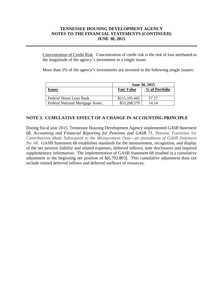Concentration of Credit Risk Concentration of credit risk is the risk of loss attributed to the magnitude of the agency's investment in a single issuer.

More than 5% of the agency's investments are invested in the following single issuers:

|                                  | <b>June 30, 2015</b> |                |  |  |  |
|----------------------------------|----------------------|----------------|--|--|--|
| <b>Issuer</b>                    | <b>Fair Value</b>    | % of Portfolio |  |  |  |
| Federal Home Loan Bank           | \$215,105,442        | 57.17          |  |  |  |
| Federal National Mortgage Assoc. | \$53,208,579         | 14 14          |  |  |  |

## **NOTE 3. CUMULATIVE EFFECT OF A CHANGE IN ACCOUNTING PRINCIPLE**

During fiscal year 2015, Tennessee Housing Development Agency implemented *GASB Statement 68, Accounting and Financial Reporting for Pensions and GASB 71,* Pension Transition f*or Contributions Made Subsequent to the Measurement Date—an amendment of GASB Statement No. 68*. GASB Statement 68 establishes standards for the measurement, recognition, and display of the net pension liability and related expenses, deferred inflows, note disclosures and required supplementary information. The implementation of GASB Statement 68 resulted in a cumulative adjustment to the beginning net position of \$(6,792,803). This cumulative adjustment does not include related deferred inflows and deferred outflows of resources.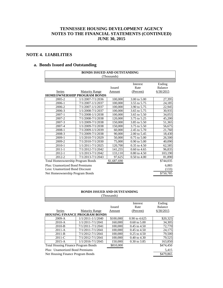## **NOTE 4. LIABILITIES**

## **a. Bonds Issued and Outstanding**

| <b>BONDS ISSUED AND OUTSTANDING</b>    |                                    |             |                  |                |  |  |  |
|----------------------------------------|------------------------------------|-------------|------------------|----------------|--|--|--|
|                                        |                                    | (Thousands) |                  |                |  |  |  |
|                                        |                                    |             |                  |                |  |  |  |
|                                        |                                    |             | Interest         | Ending         |  |  |  |
|                                        |                                    | Issued      | Rate             | <b>Balance</b> |  |  |  |
| Series                                 | <b>Maturity Range</b>              | Amount      | (Percent)        | 6/30/2015      |  |  |  |
|                                        | <b>HOMEOWNERSHIP PROGRAM BONDS</b> |             |                  |                |  |  |  |
| 2005-2                                 | 1/1/2007-7/1/2036                  | 100,000     | 3.00 to 5.00     | 27,395         |  |  |  |
| 2006-1                                 | 7/1/2007-1/1/2037                  | 100,000     | 3.55 to 5.75     | 24,185         |  |  |  |
| 2006-2                                 | 7/1/2007-1/1/2037                  | 100,000     | 3.90 to 5.75     | 22,945         |  |  |  |
| 2006-3                                 | 1/1/2008-7/1/2037                  | 100,000     | 3.65 to 5.75     | 30,935         |  |  |  |
| $2007 - 1$                             | 7/1/2008-1/1/2038                  | 100,000     | 3.65 to 5.50     | 34,055         |  |  |  |
| 2007-2                                 | 7/1/2008-7/1/2038                  | 120,000     | 3.75 to 5.25     | 45,200         |  |  |  |
| 2007-3                                 | 1/1/2009-7/1/2038                  | 150,000     | 3.85 to 5.50     | 51,365         |  |  |  |
| 2007-4                                 | 1/1/2009-7/1/2038                  | 150,000     | 3.75 to 5.50     | 56,675         |  |  |  |
| 2008-1                                 | 7/1/2009-1/1/2039                  | 60,000      | 2.45 to 5.70     | 21,760         |  |  |  |
| 2008-3                                 | 7/1/2009-7/1/2038                  | 90,000      | 2.00 to 5.45     | 18,430         |  |  |  |
| 2009-1                                 | 1/1/2010-7/1/2029                  | 50,000      | $0.75$ to $5.00$ | 26,500         |  |  |  |
| 2009-2                                 | 7/1/2010-7/1/2030                  | 75,000      | $0.90$ to $5.00$ | 40,090         |  |  |  |
| 2010-1                                 | 1/1/2011-7/1/2025                  | 120,700     | $0.35$ to $4.50$ | 62,585         |  |  |  |
| $2011 - 1$                             | 7/1/2012-7/1/2042                  | 141,255     | $0.60$ to 4.65   | 96,835         |  |  |  |
| 2012-1                                 | 1/1/2013-7/1/2042                  | 133,110     | 0.80 to 4.50     | 103,190        |  |  |  |
| 2012-2                                 | 7/1/2013-7/1/2043                  | 97,625      | $0.50$ to $4.00$ | 81,890         |  |  |  |
| Total Homeownership Program Bonds      |                                    | \$1,687,690 |                  | \$744,035      |  |  |  |
| <b>Plus: Unamortized Bond Premiums</b> |                                    |             |                  | 6,883          |  |  |  |
| Less: Unamortized Bond Discount        | (133)                              |             |                  |                |  |  |  |
| Net Homeownership Program Bonds        | \$750,785                          |             |                  |                |  |  |  |

| <b>BONDS ISSUED AND OUTSTANDING</b>        |                                      |               |                         |                |  |  |  |  |
|--------------------------------------------|--------------------------------------|---------------|-------------------------|----------------|--|--|--|--|
| (Thousands)                                |                                      |               |                         |                |  |  |  |  |
|                                            |                                      |               |                         |                |  |  |  |  |
|                                            |                                      |               | Interest                | Ending         |  |  |  |  |
|                                            |                                      | <b>Issued</b> | Rate                    | <b>Balance</b> |  |  |  |  |
| Series                                     | <b>Maturity Range</b>                | Amount        | (Percent)               | 6/30/2015      |  |  |  |  |
|                                            | <b>HOUSING FINANCE PROGRAM BONDS</b> |               |                         |                |  |  |  |  |
| $2009-A$                                   | 1/1/2011-1/1/2040                    | \$100,000     | 0.90 to 4.625           | \$20,325       |  |  |  |  |
| $2010-A$                                   | 1/1/2011-7/1/2041                    | 160,000       | $0.60 \text{ to } 5.00$ | 34,305         |  |  |  |  |
| $2010 - B$                                 | 7/1/2011-7/1/2041                    | 100,000       | $0.45$ to $4.50$        | 72,770         |  |  |  |  |
| $2011-A$                                   | 7/1/2011-7/1/2041                    | 100,000       | $0.45$ to $4.50$        | 24,175         |  |  |  |  |
| $2011 - B$                                 | 7/1/2012-7/1/2041                    | 100,000       | $0.25$ to 4.50          | 79,500         |  |  |  |  |
| $2011-C$                                   | 7/1/2012-7/1/2041                    | 100,000       | 0.40 to 4.30            | 79,525         |  |  |  |  |
| $2015 - A$                                 | 1/1/2016-7/1/2045                    | 150,000       | 0.30 to 3.85            | 163,850        |  |  |  |  |
| <b>Total Housing Finance Program Bonds</b> |                                      | \$810,000     |                         | \$474,450      |  |  |  |  |
| Plus: Unamortized Bond Premiums            |                                      |               |                         | 5,415          |  |  |  |  |
| Net Housing Finance Program Bonds          |                                      |               | \$479.865               |                |  |  |  |  |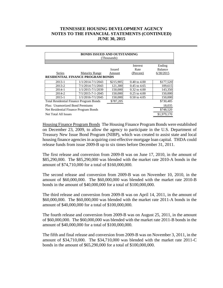| <b>BONDS ISSUED AND OUTSTANDING</b><br>(Thousands) |                                          |               |                         |                |  |  |  |
|----------------------------------------------------|------------------------------------------|---------------|-------------------------|----------------|--|--|--|
|                                                    |                                          |               |                         |                |  |  |  |
|                                                    |                                          |               | Interest                | Ending         |  |  |  |
|                                                    |                                          | <b>Issued</b> | Rate                    | <b>Balance</b> |  |  |  |
| Series                                             | <b>Maturity Range</b>                    | Amount        | (Percent)               | 6/30/2015      |  |  |  |
|                                                    | <b>RESIDENTIAL FINANCE PROGRAM BONDS</b> |               |                         |                |  |  |  |
| $2013 - 1$                                         | 1/1/2014-7/1/2043                        | \$215,905     | $0.40 \text{ to } 4.00$ | \$177,520      |  |  |  |
| 2013-2                                             | 7/1/2014-7/1/2043                        | 121,300       | $0.45$ to 4.65          | 109,615        |  |  |  |
| $2014 - 1$                                         | 1/1/2015-7/1/2039                        | 150,000       | $0.32$ to $4.00$        | 143,350        |  |  |  |
| 2014-2                                             | 7/1/2015-7-1-2045                        | 150,000       | $0.25$ to $4.00$        | 150,000        |  |  |  |
| 2015-1                                             | 1/1/2016-7/1/2045                        | 150,000       | $0.50$ to $4.05$        | 150,000        |  |  |  |
| <b>Total Residential Finance Program Bonds</b>     |                                          | \$787,205     |                         | \$730,485      |  |  |  |
| Plus: Unamortized Bond Premiums                    |                                          |               |                         | 18,035         |  |  |  |
| Net Residential Finance Program Bonds              |                                          |               |                         | \$748,520      |  |  |  |
| Net Total All Issues                               |                                          |               |                         | \$1,979,170    |  |  |  |

Housing Finance Program Bonds The Housing Finance Program Bonds were established on December 23, 2009, to allow the agency to participate in the U.S. Department of Treasury New Issue Bond Program (NIBP), which was created to assist state and local housing finance agencies in acquiring cost-effective mortgage loan capital. THDA could release funds from issue 2009-B up to six times before December 31, 2011.

The first release and conversion from 2009-B was on June 17, 2010, in the amount of \$85,290,000. The \$85,290,000 was blended with the market rate 2010-A bonds in the amount of \$74,710,000 for a total of \$160,000,000.

The second release and conversion from 2009-B was on November 10, 2010, in the amount of \$60,000,000. The \$60,000,000 was blended with the market rate 2010-B bonds in the amount of \$40,000,000 for a total of \$100,000,000.

The third release and conversion from 2009-B was on April 14, 2011, in the amount of \$60,000,000. The \$60,000,000 was blended with the market rate 2011-A bonds in the amount of \$40,000,000 for a total of \$100,000,000.

The fourth release and conversion from 2009-B was on August 25, 2011, in the amount of \$60,000,000. The \$60,000,000 was blended with the market rate 2011-B bonds in the amount of \$40,000,000 for a total of \$100,000,000.

The fifth and final release and conversion from 2009-B was on November 3, 2011, in the amount of \$34,710,000. The \$34,710,000 was blended with the market rate 2011-C bonds in the amount of \$65,290,000 for a total of \$100,000,000.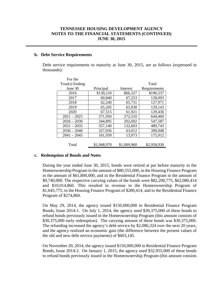#### **b. Debt Service Requirements**

Debt service requirements to maturity at June 30, 2015, are as follows (expressed in thousands):

| For the          |             |             |              |
|------------------|-------------|-------------|--------------|
| $Year(s)$ Ending |             |             | Total        |
| June 30          | Principal   | Interest    | Requirements |
| 2016             | \$130,210   | \$66,327    | \$196,537    |
| 2017             | 60,840      | 67,253      | 128,093      |
| 2018             | 62,240      | 65,731      | 127,971      |
| 2019             | 65,205      | 63,938      | 129,143      |
| 2020             | 67,515      | 61,921      | 129,436      |
| $2021 - 2025$    | 371,950     | 272,510     | 644,460      |
| $2026 - 2030$    | 344,895     | 202,692     | 547,587      |
| $2031 - 2035$    | 357,140     | 132,603     | 489,743      |
| $2036 - 2040$    | 327,036     | 63,012      | 390,048      |
| $2041 - 2045$    | 161,939     | 13,973      | 175,912      |
|                  |             |             |              |
| Total            | \$1,948,970 | \$1,009,960 | \$2,958,930  |

#### **c. Redemption of Bonds and Notes**

During the year ended June 30, 2015, bonds were retired at par before maturity in the Homeownership Program in the amount of \$80,555,000, in the Housing Finance Program in the amount of \$61,800,000, and in the Residential Finance Program in the amount of \$9,740,000. The respective carrying values of the bonds were \$82,200,775, \$62,080,414 and \$10,014,860. This resulted in revenue to the Homeownership Program of \$1,645,775, to the Housing Finance Program of \$280,414, and to the Residential Finance Program of \$274,860.

On May 29, 2014, the agency issued \$150,000,000 in Residential Finance Program Bonds, Issue 2014-1. On July 1, 2014, the agency used \$30,375,000 of these bonds to refund bonds previously issued in the Homeownership Program (this amount consists of \$30,375,000 early redemption). The carrying amount of these bonds was \$30,375,000. The refunding increased the agency's debt service by \$2,086,324 over the next 20 years, and the agency realized an economic gain (the difference between the present values of the old and new debt service payments) of \$603,145.

On November 20, 2014, the agency issued \$150,000,000 in Residential Finance Program Bonds, Issue 2014-2. On January 1, 2015, the agency used \$32,955,000 of these bonds to refund bonds previously issued in the Homeownership Program (this amount consists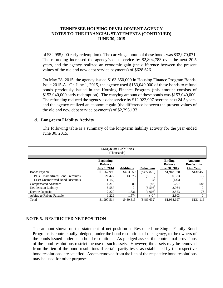of \$32,955,000 early redemption). The carrying amount of these bonds was \$32,970,071. The refunding increased the agency's debt service by \$2,804,783 over the next 20.5 years, and the agency realized an economic gain (the difference between the present values of the old and new debt service payments) of \$628,626.

On May 28, 2015, the agency issued \$163,850,000 in Housing Finance Program Bonds, Issue 2015-A. On June 1, 2015, the agency used \$153,040,000 of these bonds to refund bonds previously issued in the Housing Finance Program (this amount consists of \$153,040,000 early redemption). The carrying amount of these bonds was \$153,040,000. The refunding reduced the agency's debt service by \$12,922,997 over the next 24.5 years, and the agency realized an economic gain (the difference between the present values of the old and new debt service payments) of \$2,296,133.

#### **d. Long-term Liability Activity**

The following table is a summary of the long-term liability activity for the year ended June 30, 2015.

| <b>Long-term Liabilities</b><br>(Thousands)                                                                                                                                                        |             |           |                |             |           |  |  |  |  |
|----------------------------------------------------------------------------------------------------------------------------------------------------------------------------------------------------|-------------|-----------|----------------|-------------|-----------|--|--|--|--|
| <b>Beginning</b><br>Ending<br><b>Amounts</b><br><b>Balance</b><br><b>Balance</b><br>Due Within<br><b>July 1, 2014</b><br><b>Additions</b><br>June 30, 2015<br><b>Reductions</b><br><b>One Year</b> |             |           |                |             |           |  |  |  |  |
| <b>Bonds Payable</b>                                                                                                                                                                               | \$1,962,990 | \$463,850 | $(\$477,870)$  | \$1,948,970 | \$130,455 |  |  |  |  |
| <b>Plus: Unamortized Bond Premiums</b>                                                                                                                                                             | 21,477      | 13,975    | (5,119)        | 30,333      | $-0-$     |  |  |  |  |
| Less: Unamortized Bond Discounts                                                                                                                                                                   | (169)       | $-()$ -   | 36             | (133)       | $-0-$     |  |  |  |  |
| <b>Compensated Absences</b>                                                                                                                                                                        | 1,210       | 80        | (83)           | 1,207       | 585       |  |  |  |  |
| Net Pension Liability                                                                                                                                                                              | 8,557       | $-0-$     | (5,593)        | 2,964       | $-0-$     |  |  |  |  |
| <b>Escrow Deposits</b>                                                                                                                                                                             | 2,220       | 1,336     | (1,003)        | 2,553       | 76        |  |  |  |  |
| Arbitrage Rebate Payable                                                                                                                                                                           | 1.229       | 1,574     | $(-0)$         | 2,803       | $-0-$     |  |  |  |  |
| Total                                                                                                                                                                                              | \$1,997,514 | \$480.815 | $($ \$489,632) | \$1,988,697 | \$131,116 |  |  |  |  |

#### **NOTE 5. RESTRICTED NET POSITION**

The amount shown on the statement of net position as Restricted for Single Family Bond Programs is contractually pledged, under the bond resolutions of the agency, to the owners of the bonds issued under such bond resolutions. As pledged assets, the contractual provisions of the bond resolutions restrict the use of such assets. However, the assets may be removed from the lien of the bond resolutions if certain parity tests, as established by the respective bond resolutions, are satisfied. Assets removed from the lien of the respective bond resolutions may be used for other purposes.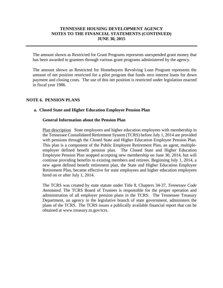The amount shown as Restricted for Grant Programs represents unexpended grant money that has been awarded to grantees through various grant programs administered by the agency.

The amount shown as Restricted for Homebuyers Revolving Loan Program represents the amount of net position restricted for a pilot program that funds zero interest loans for down payment and closing costs. The use of this net position is restricted under legislation enacted in fiscal year 1986.

#### **NOTE 6. PENSION PLANS**

#### **a. Closed State and Higher Education Employee Pension Plan**

#### **General Information about the Pension Plan**

Plan description State employees and higher education employees with membership in the Tennessee Consolidated Retirement System (TCRS) before July 1, 2014 are provided with pensions through the Closed State and Higher Education Employee Pension Plan. This plan is a component of the Public Employee Retirement Plan, an agent, multipleemployer defined benefit pension plan. The Closed State and Higher Education Employee Pension Plan stopped accepting new membership on June 30, 2014, but will continue providing benefits to existing members and retirees. Beginning July 1, 2014, a new agent defined benefit retirement plan, the State and Higher Education Employee Retirement Plan, became effective for state employees and higher education employees hired on or after July 1, 2014.

The TCRS was created by state statute under Title 8, Chapters 34-37, *Tennessee Code Annotated*. The TCRS Board of Trustees is responsible for the proper operation and administration of all employer pension plans in the TCRS. The Tennessee Treasury Department, an agency in the legislative branch of state government, administers the plans of the TCRS. The TCRS issues a publically available financial report that can be obtained at www.treasury.tn.gov/tcrs.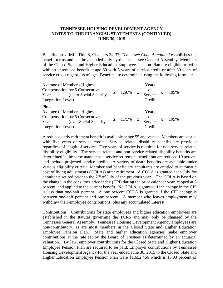Benefits provided Title 8, Chapters 34-37, *Tennessee Code Annotated* establishes the benefit terms and can be amended only by the Tennessee General Assembly. Members of the Closed State and Higher Education Employee Pension Plan are eligible to retire with an unreduced benefit at age 60 with 5 years of service credit or after 30 years of service credit regardless of age. Benefits are determined using the following formula:

| Average of Member's Highest<br>Compensation for 5 Consecutive<br>(up to Social Security)<br>Years<br>Integration Level)                | $\mathbf{x}$ | 1.50% | $\mathbf{X}$ | Years<br>of<br>Service<br>Credit | $\mathbf{X}$ | 105% |
|----------------------------------------------------------------------------------------------------------------------------------------|--------------|-------|--------------|----------------------------------|--------------|------|
| <b>Plus:</b><br>Average of Member's Highest<br>Compensation for 5 Consecutive<br>(over Social Security)<br>Years<br>Integration Level) | $\mathbf{x}$ | 1.75% | $\mathbf{X}$ | Years<br>of<br>Service<br>Credit | $\mathbf X$  | 105% |

A reduced early retirement benefit is available at age 55 and vested. Members are vested with five years of service credit. Service related disability benefits are provided regardless of length of service. Five years of service is required for non-service related disability eligibility. The service related and non-service related disability benefits are determined in the same manner as a service retirement benefit but are reduced 10 percent and include projected service credits. A variety of death benefits are available under various eligibility criteria. Member and beneficiary annuitants are entitled to automatic cost of living adjustments (COLAs) after retirement. A COLA is granted each July for annuitants retired prior to the  $2<sup>nd</sup>$  of July of the previous year. The COLA is based on the change in the consumer price index (CPI) during the prior calendar year, capped at 3 percent, and applied to the current benefit. No COLA is granted if the change in the CPI is less than one-half percent. A one percent COLA is granted if the CPI change is between one-half percent and one percent. A member who leaves employment may withdraw their employee contributions, plus any accumulated interest.

Contributions Contributions for state employees and higher education employees are established in the statutes governing the TCRS and may only be changed by the Tennessee General Assembly. Tennessee Housing Development Agency employees are non-contributory, as are most members in the Closed State and Higher Education Employee Pension Plan. State and higher education agencies make employer contributions at the rate set by the Board of Trustees as determined by an actuarial valuation. By law, employer contributions for the Closed State and Higher Education Employee Pension Plan are required to be paid. Employer contributions by Tennessee Housing Development Agency for the year ended June 30, 2015 to the Closed State and Higher Education Employee Pension Plan were \$1,652,466 which is 15.03 percent of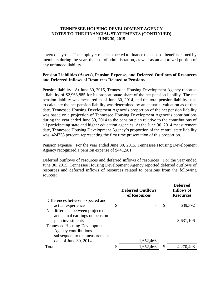covered payroll. The employer rate is expected to finance the costs of benefits earned by members during the year, the cost of administration, as well as an amortized portion of any unfunded liability.

#### **Pension Liabilities (Assets), Pension Expense, and Deferred Outflows of Resources and Deferred Inflows of Resources Related to Pensions**

Pension liabilityAt June 30, 2015, Tennessee Housing Development Agency reported a liability of \$2,963,885 for its proportionate share of the net pension liability. The net pension liability was measured as of June 30, 2014, and the total pension liability used to calculate the net pension liability was determined by an actuarial valuation as of that date. Tennessee Housing Development Agency's proportion of the net pension liability was based on a projection of Tennessee Housing Development Agency's contributions during the year ended June 30, 2014 to the pension plan relative to the contributions of all participating state and higher education agencies. At the June 30, 2014 measurement date, Tennessee Housing Development Agency's proportion of the central state liability was .424758 percent, representing the first time presentation of this proportion.

Pension expenseFor the year ended June 30, 2015, Tennessee Housing Development Agency recognized a pension expense of \$441,581.

Deferred outflows of resources and deferred inflows of resources For the year ended June 30, 2015, Tennessee Housing Development Agency reported deferred outflows of resources and deferred inflows of resources related to pensions from the following sources:

|                                                                    | <b>Deferred Outflows</b><br>of Resources |               | <b>Deferred</b><br><b>Inflows of</b><br><b>Resources</b> |
|--------------------------------------------------------------------|------------------------------------------|---------------|----------------------------------------------------------|
| Differences between expected and<br>actual experience              | \$                                       |               | 639,392                                                  |
| Net difference between projected<br>and actual earnings on pension |                                          |               |                                                          |
| plan investments                                                   |                                          |               | 3,631,106                                                |
| <b>Tennessee Housing Development</b>                               |                                          |               |                                                          |
| Agency contributions                                               |                                          |               |                                                          |
| subsequent to the measurement                                      |                                          |               |                                                          |
| date of June 30, 2014                                              | 1,652,466                                |               |                                                          |
| Total                                                              | \$<br>1,652,466                          | <sup>\$</sup> |                                                          |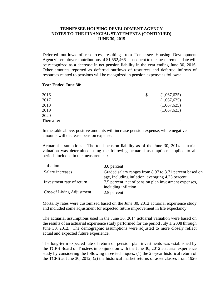Deferred outflows of resources, resulting from Tennessee Housing Development Agency's employer contributions of \$1,652,466 subsequent to the measurement date will be recognized as a decrease in net pension liability in the year ending June 30, 2016. Other amounts reported as deferred outflows of resources and deferred inflows of resources related to pensions will be recognized in pension expense as follows:

#### **Year Ended June 30:**

| \$<br>(1,067,625) |
|-------------------|
| (1,067,625)       |
| (1,067,625)       |
| (1,067,623)       |
|                   |
|                   |
|                   |

In the table above, positive amounts will increase pension expense, while negative amounts will decrease pension expense.

Actuarial assumptionsThe total pension liability as of the June 30, 2014 actuarial valuation was determined using the following actuarial assumptions, applied to all periods included in the measurement:

| Inflation                 | 3.0 percent                                                                                                 |
|---------------------------|-------------------------------------------------------------------------------------------------------------|
| Salary increases          | Graded salary ranges from 8.97 to 3.71 percent based on<br>age, including inflation, averaging 4.25 percent |
| Investment rate of return | 7.5 percent, net of pension plan investment expenses,<br>including inflation                                |
| Cost-of Living Adjustment | 2.5 percent                                                                                                 |

Mortality rates were customized based on the June 30, 2012 actuarial experience study and included some adjustment for expected future improvement in life expectancy.

The actuarial assumptions used in the June 30, 2014 actuarial valuation were based on the results of an actuarial experience study performed for the period July 1, 2008 through June 30, 2012. The demographic assumptions were adjusted to more closely reflect actual and expected future experience.

The long-term expected rate of return on pension plan investments was established by the TCRS Board of Trustees in conjunction with the June 30, 2012 actuarial experience study by considering the following three techniques: (1) the 25-year historical return of the TCRS at June 30, 2012, (2) the historical market returns of asset classes from 1926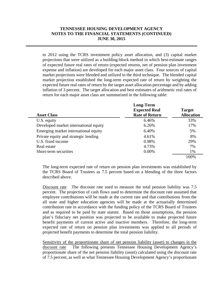to 2012 using the TCRS investment policy asset allocation, and (3) capital market projections that were utilized as a building-block method in which best-estimate ranges of expected future real rates of return (expected returns, net of pension plan investment expense and inflation) are developed for each major asset class. Four sources of capital market projections were blended and utilized in the third technique. The blended capital market projection established the long-term expected rate of return by weighting the expected future real rates of return by the target asset allocation percentage and by adding inflation of 3 percent. The target allocation and best estimates of arithmetic real rates of return for each major asset class are summarized in the following table:

|                                       | <b>Long-Term</b>      |                   |
|---------------------------------------|-----------------------|-------------------|
|                                       | <b>Expected Real</b>  | <b>Target</b>     |
| <b>Asset Class</b>                    | <b>Rate of Return</b> | <b>Allocation</b> |
| U.S. equity                           | 6.46%                 | 33%               |
| Developed market international equity | 6.26%                 | 17%               |
| Emerging market international equity  | 6.40%                 | 5%                |
| Private equity and strategic lending  | 4.61%                 | 8%                |
| U.S. fixed income                     | 0.98%                 | 29%               |
| Real estate                           | 4.73%                 | 7%                |
| Short-term securities                 | $0.00\%$              | 1%                |
|                                       |                       | 100%              |

The long-term expected rate of return on pension plan investments was established by the TCRS Board of Trustees as 7.5 percent based on a blending of the three factors described above.

Discount rateThe discount rate used to measure the total pension liability was 7.5 percent. The projection of cash flows used to determine the discount rate assumed that employee contributions will be made at the current rate and that contributions from the all state and higher education agencies will be made at the actuarially determined contribution rate in accordance with the funding policy of the TCRS Board of Trustees and as required to be paid by state statute. Based on those assumptions, the pension plan's fiduciary net position was projected to be available to make projected future benefit payments of current active and inactive members. Therefore, the long-term expected rate of return on pension plan investments was applied to all periods of projected benefit payments to determine the total pension liability.

Sensitivity of the proportionate share of net pension liability (asset) to changes in the discount rate The following presents Tennessee Housing Development Agency's proportionate share of the net pension liability (asset) calculated using the discount rate of 7.5 percent, as well as what Tennessee Housing Development Agency's proportionate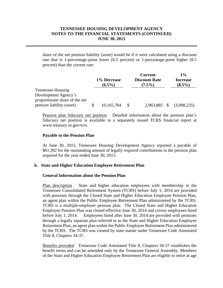share of the net pension liability (asset) would be if it were calculated using a discount rate that is 1-percentage-point lower  $(6.5 \text{ percent})$  or 1-percentage-point higher  $(8.5 \text{ percent})$ percent) than the current rate:

|                                | 1% Decrease<br>$(6.5\%)$ | <b>Current</b><br><b>Discount Rate</b><br>$(7.5\%)$ | $1\%$<br><b>Increase</b><br>$(8.5\%)$ |
|--------------------------------|--------------------------|-----------------------------------------------------|---------------------------------------|
| <b>Tennessee Housing</b>       |                          |                                                     |                                       |
| Development Agency's           |                          |                                                     |                                       |
| proportionate share of the net |                          |                                                     |                                       |
| pension liability (asset)      | 10,165,784               | 2,963,885                                           | \$<br>(3,098,235)                     |

Pension plan fiduciary net positionDetailed information about the pension plan's fiduciary net position is available in a separately issued TCRS financial report at www.treasury.tn.gov/tcrs.

#### **Payable to the Pension Plan**

At June 30, 2015, Tennessee Housing Development Agency reported a payable of \$61,392 for the outstanding amount of legally required contributions to the pension plan required for the year ended June 30, 2015.

#### **b. State and Higher Education Employee Retirement Plan**

#### **General Information about the Pension Plan**

Plan descriptionState and higher education employees with membership in the Tennessee Consolidated Retirement System (TCRS) before July 1, 2014 are provided with pensions through the Closed State and Higher Education Employee Pension Plan, an agent plan within the Public Employee Retirement Plan administered by the TCRS. TCRS is a multiple-employer pension plan. The Closed State and Higher Education Employee Pension Plan was closed effective June 30, 2014 and covers employees hired before July 1, 2014. Employees hired after June 30, 2014 are provided with pensions through a legally separate plan referred to as the State and Higher Education Employee Retirement Plan, an agent plan within the Public Employee Retirement Plan administered by the TCRS. The TCRS was created by state statute under Tennessee Code Annotated Title 8, Chapters 34-37.

Benefits providedTennessee Code Annotated Title 8, Chapters 34-37 establishes the benefit terms and can be amended only by the Tennessee General Assembly. Members of the State and Higher Education Employee Retirement Plan are eligible to retire at age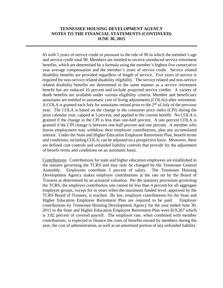65 with 5 years of service credit or pursuant to the rule of 90 in which the member's age and service credit total 90. Members are entitled to receive unreduced service retirement benefits, which are determined by a formula using the member's highest five consecutive year average compensation and the member's years of service credit. Service related disability benefits are provided regardless of length of service. Five years of service is required for non-service related disability eligibility. The service related and non-service related disability benefits are determined in the same manner as a service retirement benefit but are reduced 10 percent and include projected service credits. A variety of death benefits are available under various eligibility criteria. Member and beneficiary annuitants are entitled to automatic cost of living adjustments (COLAs) after retirement. A COLA is granted each July for annuitants retired prior to the  $2<sup>nd</sup>$  of July of the previous year. The COLA is based on the change in the consumer price index (CPI) during the prior calendar year, capped at 3 percent, and applied to the current benefit. No COLA is granted if the change in the CPI is less than one-half percent. A one percent COLA is granted if the CPI change is between one-half percent and one percent. A member who leaves employment may withdraw their employee contributions, plus any accumulated interest. Under the State and Higher Education Employee Retirement Plan, benefit terms and conditions, including COLA, can be adjusted on a prospective basis. Moreover, there are defined cost controls and unfunded liability controls that provide for the adjustment of benefit terms and conditions on an automatic basis.

ContributionsContributions for state and higher education employees are established in the statutes governing the TCRS and may only be changed by the Tennessee General Assembly. Employees contribute 5 percent of salary. The Tennessee Housing Development Agency makes employer contributions at the rate set by the Board of Trustees as determined by an actuarial valuation. Per the statutory provisions governing the TCRS, the employer contribution rate cannot be less than 4 percent for all aggregate employee groups, except for in years when the maximum funded level, approved by the TCRS Board of Trustees, is reached. By law, employer contributions for the State and Higher Education Employee Retirement Plan are required to be paid. Employer contributions by Tennessee Housing Development Agency for the year ended June 30, 2015 to the State and Higher Education Employee Retirement Plan were \$19,267 which is 3.82 percent of covered payroll. The employer rate, when combined with member contributions, is expected to finance the costs of benefits earned by members during the year, the cost of administration, as well as an amortized portion of any unfunded liability.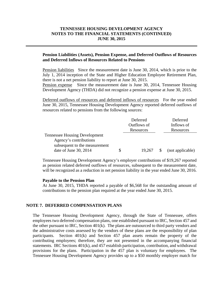#### **Pension Liabilities (Assets), Pension Expense, and Deferred Outflows of Resources and Deferred Inflows of Resources Related to Pensions**

Pension liabilitiesSince the measurement date is June 30, 2014, which is prior to the July 1, 2014 inception of the State and Higher Education Employee Retirement Plan*,*  there is not a net pension liability to report at June 30, 2015.

Pension expense Since the measurement date is June 30, 2014, Tennessee Housing Development Agency (THDA) did not recognize a pension expense at June 30, 2015.

Deferred outflows of resources and deferred inflows of resources For the year ended June 30, 2015, Tennessee Housing Development Agency reported deferred outflows of resources related to pensions from the following sources:

|                                      | Deferred    | Deferred         |
|--------------------------------------|-------------|------------------|
|                                      | Outflows of | Inflows of       |
|                                      | Resources   | Resources        |
| <b>Tennessee Housing Development</b> |             |                  |
| Agency's contributions               |             |                  |
| subsequent to the measurement        |             |                  |
| date of June 30, 2014                | 19,267      | (not applicable) |

Tennessee Housing Development Agency's employer contributions of \$19,267 reported as pension related deferred outflows of resources, subsequent to the measurement date, will be recognized as a reduction in net pension liability in the year ended June 30, 2016.

#### **Payable to the Pension Plan**

At June 30, 2015, THDA reported a payable of \$6,568 for the outstanding amount of contributions to the pension plan required at the year ended June 30, 2015.

#### **NOTE 7. DEFERRED COMPENSATION PLANS**

The Tennessee Housing Development Agency, through the State of Tennessee, offers employees two deferred compensation plans, one established pursuant to IRC, Section 457 and the other pursuant to IRC, Section 401(k). The plans are outsourced to third party vendors and the administrative costs assessed by the vendors of these plans are the responsibility of plan participants. Section 401(k) and Section 457 plan assets remain the property of the contributing employees; therefore, they are not presented in the accompanying financial statements. IRC Sections 401(k), and 457 establish participation, contribution, and withdrawal provisions for the plans. Participation in the 457 plan is voluntary for employees. The Tennessee Housing Development Agency provides up to a \$50 monthly employer match for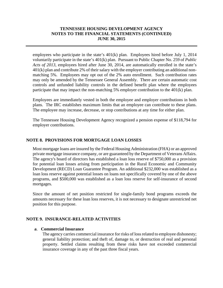employees who participate in the state's 401(k) plan. Employees hired before July 1, 2014 voluntarily participate in the state's 401(k) plan. Pursuant to Public Chapter No. 259 of *Public Acts of 2013,* employees hired after June 30, 2014, are automatically enrolled in the state's 401(k) plan and contribute 2% of their salary with the employer contributing an additional nonmatching 5%. Employees may opt out of the 2% auto enrollment. Such contribution rates may only be amended by the Tennessee General Assembly. There are certain automatic cost controls and unfunded liability controls in the defined benefit plan where the employees participate that may impact the non-matching 5% employer contribution to the 401(k) plan.

Employees are immediately vested in both the employee and employer contributions in both plans. The IRC establishes maximum limits that an employee can contribute to these plans. The employee may increase, decrease, or stop contributions at any time for either plan.

The Tennessee Housing Development Agency recognized a pension expense of \$118,794 for employer contributions.

## **NOTE 8. PROVISIONS FOR MORTGAGE LOAN LOSSES**

Most mortgage loans are insured by the Federal Housing Administration (FHA) or an approved private mortgage insurance company, or are guaranteed by the Department of Veterans Affairs. The agency's board of directors has established a loan loss reserve of \$750,000 as a provision for potential loan losses arising from participation in the Rural Economic and Community Development (RECD) Loan Guarantee Program. An additional \$232,000 was established as a loan loss reserve against potential losses on loans not specifically covered by one of the above programs, and \$500,000 was established as a loan loss reserve for self-insurance of second mortgages.

Since the amount of net position restricted for single-family bond programs exceeds the amounts necessary for these loan loss reserves, it is not necessary to designate unrestricted net position for this purpose.

#### **NOTE 9. INSURANCE-RELATED ACTIVITIES**

#### **a**. **Commercial Insurance**

 The agency carries commercial insurance for risks of loss related to employee dishonesty; general liability protection; and theft of, damage to, or destruction of real and personal property. Settled claims resulting from these risks have not exceeded commercial insurance coverage in any of the past three fiscal years.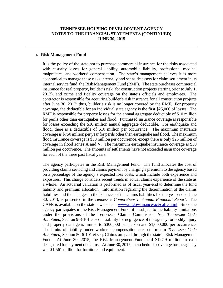#### **b. Risk Management Fund**

It is the policy of the state not to purchase commercial insurance for the risks associated with casualty losses for general liability, automobile liability, professional medical malpractice, and workers' compensation. The state's management believes it is more economical to manage these risks internally and set aside assets for claim settlement in its internal service fund, the Risk Management Fund (RMF). The state purchases commercial insurance for real property, builder's risk (for construction projects starting prior to July 1, 2012), and crime and fidelity coverage on the state's officials and employees. The contractor is responsible for acquiring builder's risk insurance for all construction projects after June 30, 2012; thus, builder's risk is no longer covered by the RMF. For property coverage, the deductible for an individual state agency is the first \$25,000 of losses. The RMF is responsible for property losses for the annual aggregate deductible of \$10 million for perils other than earthquakes and flood. Purchased insurance coverage is responsible for losses exceeding the \$10 million annual aggregate deductible. For earthquake and flood, there is a deductible of \$10 million per occurrence. The maximum insurance coverage is \$750 million per year for perils other than earthquake and flood. The maximum flood insurance coverage is \$50 million per occurrence, except there is only \$25 million of coverage in flood zones A and V. The maximum earthquake insurance coverage is \$50 million per occurrence. The amounts of settlements have not exceeded insurance coverage for each of the three past fiscal years.

The agency participates in the Risk Management Fund. The fund allocates the cost of providing claims servicing and claims payment by charging a premium to the agency based on a percentage of the agency's expected loss costs, which include both experience and exposures. This charge considers recent trends in actual claims experience of the state as a whole. An actuarial valuation is performed as of fiscal year-end to determine the fund liability and premium allocation. Information regarding the determination of the claims liabilities and the changes in the balances of the claims liabilities for the year ended June 30, 2013, is presented in the *Tennessee Comprehensive Annual Financial Report*. The CAFR is available on the state's website at www.tn.gov/finance/act/cafr.shtml. Since the agency participates in the Risk Management Fund, it is subject to the liability limitations under the provisions of the Tennessee Claims Commission Act, *Tennessee Code Annotated*, Section 9-8-101 et seq. Liability for negligence of the agency for bodily injury and property damage is limited to \$300,000 per person and \$1,000,000 per occurrence. The limits of liability under workers' compensation are set forth in *Tennessee Code Annotated,* Section 50-6-101 et seq. Claims are paid through the state's Risk Management Fund. At June 30, 2015, the Risk Management Fund held \$127.9 million in cash designated for payment of claims. At June 30, 2015, the scheduled coverage for the agency was \$1.561 million for furniture and equipment.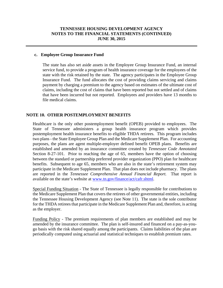#### **c. Employee Group Insurance Fund**

 The state has also set aside assets in the Employee Group Insurance Fund, an internal service fund, to provide a program of health insurance coverage for the employees of the state with the risk retained by the state. The agency participates in the Employee Group Insurance Fund. The fund allocates the cost of providing claims servicing and claims payment by charging a premium to the agency based on estimates of the ultimate cost of claims, including the cost of claims that have been reported but not settled and of claims that have been incurred but not reported. Employees and providers have 13 months to file medical claims.

## **NOTE 10. OTHER POSTEMPLOYMENT BENEFITS**

Healthcare is the only other postemployment benefit (OPEB) provided to employees. The State of Tennessee administers a group health insurance program which provides postemployment health insurance benefits to eligible THDA retirees. This program includes two plans - the State Employee Group Plan and the Medicare Supplement Plan. For accounting purposes, the plans are agent multiple-employer defined benefit OPEB plans. Benefits are established and amended by an insurance committee created by *Tennessee Code Annotated* Section 8-27-101. Prior to reaching the age of 65, members have the option of choosing between the standard or partnership preferred provider organization (PPO) plan for healthcare benefits. Subsequent to age 65, members who are also in the state's retirement system may participate in the Medicare Supplement Plan. That plan does not include pharmacy. The plans are reported in the *Tennessee Comprehensive Annual Financial Report.* That report is available on the state's website at www.tn.gov/finance/act/cafr.shtml.

Special Funding Situation - The State of Tennessee is legally responsible for contributions to the Medicare Supplement Plan that covers the retirees of other governmental entities, including the Tennessee Housing Development Agency (see Note 11). The state is the sole contributor for the THDA retirees that participate in the Medicare Supplement Plan and, therefore, is acting as the employer.

Funding Policy - The premium requirements of plan members are established and may be amended by the insurance committee. The plan is self-insured and financed on a pay-as-yougo basis with the risk shared equally among the participants. Claims liabilities of the plan are periodically computed using actuarial and statistical techniques to establish premium rates.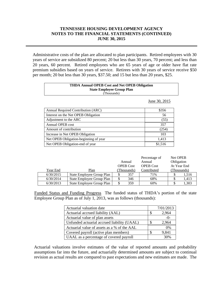Administrative costs of the plan are allocated to plan participants. Retired employees with 30 years of service are subsidized 80 percent; 20 but less than 30 years, 70 percent; and less than 20 years, 60 percent. Retired employees who are 65 years of age or older have flat rate premium subsidies based on years of service. Retirees with 30 years of service receive \$50 per month; 20 but less than 30 years, \$37.50; and 15 but less than 20 years, \$25.

| <b>THDA Annual OPEB Cost and Net OPEB Obligation</b> |
|------------------------------------------------------|
| <b>State Employee Group Plan</b>                     |
| (Thousands)                                          |

June 30, 2015

| Annual Required Contribution (ARC)    | \$356   |
|---------------------------------------|---------|
| Interest on the Net OPEB Obligation   | 56      |
| Adjustment to the ARC                 | (55)    |
| Annual OPEB cost                      | 357     |
| Amount of contribution                | (254)   |
| Increase in Net OPEB Obligation       | 103     |
| Net OPEB Obligation-beginning of year | 1,413   |
| Net OPEB Obligation-end of year       | \$1,516 |

|           |                           | Percentage of |                                      | Net OPEB |  |             |
|-----------|---------------------------|---------------|--------------------------------------|----------|--|-------------|
|           |                           |               | Obligation<br>Annual<br>Annual       |          |  |             |
|           |                           |               | <b>OPEB</b> Cost<br><b>OPEB</b> Cost |          |  | At Year End |
| Year End  | Plan                      |               | (Thousands)<br>Contributed           |          |  | (Thousands) |
| 6/30/2015 | State Employee Group Plan |               | 357                                  | 71%      |  | 1,516       |
| 6/30/2014 | State Employee Group Plan |               | 346                                  | 68%      |  | 1,413       |
| 6/30/2013 | State Employee Group Plan |               | 359                                  | 60%      |  | 1,303       |

Funded Status and Funding Progress The funded status of THDA's portion of the state Employee Group Plan as of July 1, 2013, was as follows (thousands):

| Actuarial valuation date                    | 7/01/2013 |
|---------------------------------------------|-----------|
| Actuarial accrued liability (AAL)           | 2,964     |
| Actuarial value of plan assets              | $-0-$     |
| Unfunded actuarial accrued liability (UAAL) | 2,964     |
| Actuarial value of assets as a % of the AAL | 0%        |
| Covered payroll (active plan members)       | 9,841     |
| UAAL as a percentage of covered payroll     | 30%       |

Actuarial valuations involve estimates of the value of reported amounts and probability assumptions far into the future, and actuarially determined amounts are subject to continual revision as actual results are compared to past expectations and new estimates are made. The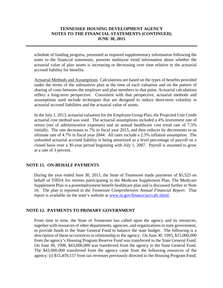schedule of funding progress, presented as required supplementary information following the notes to the financial statements, presents multiyear trend information about whether the actuarial value of plan assets is increasing or decreasing over time relative to the actuarial accrued liability for benefits.

Actuarial Methods and Assumptions Calculations are based on the types of benefits provided under the terms of the substantive plan at the time of each valuation and on the pattern of sharing of costs between the employer and plan members to that point. Actuarial calculations reflect a long-term perspective. Consistent with that perspective, actuarial methods and assumptions used include techniques that are designed to reduce short-term volatility in actuarial accrued liabilities and the actuarial value of assets.

In the July 1, 2013, actuarial valuation for the Employee Group Plan, the Projected Unit Credit actuarial cost method was used. The actuarial assumptions included a 4% investment rate of return (net of administrative expenses) and an annual healthcare cost trend rate of 7.5% initially. The rate decreases to 7% in fiscal year 2015, and then reduces by decrements to an ultimate rate of 4.7% in fiscal year 2044. All rates include a 2.5% inflation assumption. The unfunded actuarial accrued liability is being amortized as a level percentage of payroll on a closed basis over a 30-year period beginning with July 1, 2007. Payroll is assumed to grow at a rate of 3 percent.

#### **NOTE 11. ON-BEHALF PAYMENTS**

During the year ended June 30, 2015, the State of Tennessee made payments of \$5,525 on behalf of THDA for retirees participating in the Medicare Supplement Plan, The Medicare Supplement Plan is a postemployment benefit healthcare plan and is discussed further in Note 10. The plan is reported in the *Tennessee Comprehensive Annual Financial Report.* That report is available on the state's website at www.tn.gov/finance/act/cafr.shtml.

#### **NOTE 12. PAYMENTS TO PRIMARY GOVERNMENT**

From time to time, the State of Tennessee has called upon the agency and its resources, together with resources of other departments, agencies, and organizations in state government, to provide funds to the State General Fund to balance the state budget. The following is a description of these occurrences in relationship to the agency. On June 30, 1995, \$15,000,000 from the agency's Housing Program Reserve Fund was transferred to the State General Fund. On June 30, 1998, \$43,000,000 was transferred from the agency to the State General Fund. The \$43,000,000 transferred from the agency came from the following resources of the agency: (i) \$15,459,157 from tax revenues previously directed to the Housing Program Fund;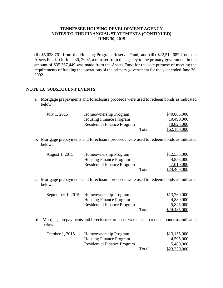(ii) \$5,028,761 from the Housing Program Reserve Fund; and (iii) \$22,512,082 from the Assets Fund. On June 30, 2002, a transfer from the agency to the primary government in the amount of \$35,367,449 was made from the Assets Fund for the sole purpose of meeting the requirements of funding the operations of the primary government for the year ended June 30, 2002.

#### **NOTE 13. SUBSEQUENT EVENTS**

**a.** Mortgage prepayments and foreclosure proceeds were used to redeem bonds as indicated below:

| July 1, 2015 | Homeownership Program              |       | \$40,865,000 |
|--------------|------------------------------------|-------|--------------|
|              | <b>Housing Finance Program</b>     |       | 10,490,000   |
|              | <b>Residential Finance Program</b> |       | 10,825,000   |
|              |                                    | Total | \$62,180,000 |

**b.** Mortgage prepayments and foreclosure proceeds were used to redeem bonds as indicated below:

| August 1, 2015 | Homeownership Program              |       | \$12,535,000 |
|----------------|------------------------------------|-------|--------------|
|                | <b>Housing Finance Program</b>     |       | 4,855,000    |
|                | <b>Residential Finance Program</b> |       | 7,010,000    |
|                |                                    | Total | \$24,400,000 |

**c.** Mortgage prepayments and foreclosure proceeds were used to redeem bonds as indicated below:

| September 1, 2015 | Homeownership Program              | \$13,760,000 |              |
|-------------------|------------------------------------|--------------|--------------|
|                   | <b>Housing Finance Program</b>     |              | 4,880,000    |
|                   | <b>Residential Finance Program</b> |              | 5,845,000    |
|                   |                                    | Total        | \$24,485,000 |

**d.** Mortgage prepayments and foreclosure proceeds were used to redeem bonds as indicated below:

| October 1, 2015 | Homeownership Program              |       | \$13,155,000 |
|-----------------|------------------------------------|-------|--------------|
|                 | <b>Housing Finance Program</b>     |       | 4,595,000    |
|                 | <b>Residential Finance Program</b> |       | 5,480,000    |
|                 |                                    | Total | \$23,230,000 |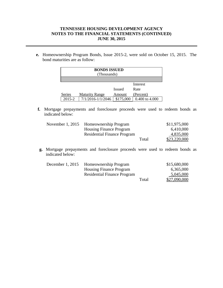**e.** Homeownership Program Bonds, Issue 2015-2, were sold on October 15, 2015. The bond maturities are as follow:

| <b>BONDS ISSUED</b><br>(Thousands)                     |                                   |           |                |  |  |  |  |  |
|--------------------------------------------------------|-----------------------------------|-----------|----------------|--|--|--|--|--|
|                                                        |                                   |           |                |  |  |  |  |  |
|                                                        | Interest<br><b>Issued</b><br>Rate |           |                |  |  |  |  |  |
| Series<br><b>Maturity Range</b><br>(Percent)<br>Amount |                                   |           |                |  |  |  |  |  |
| 2015-2                                                 | 7/1/2016-1/1/2046                 | \$175,000 | 0.400 to 4.000 |  |  |  |  |  |

**f.** Mortgage prepayments and foreclosure proceeds were used to redeem bonds as indicated below:

| November $1, 2015$ | Homeownership Program              |       | \$11,975,000 |
|--------------------|------------------------------------|-------|--------------|
|                    | <b>Housing Finance Program</b>     |       | 6,410,000    |
|                    | <b>Residential Finance Program</b> |       | 4,835,000    |
|                    |                                    | Total | \$23,220,000 |

**g.** Mortgage prepayments and foreclosure proceeds were used to redeem bonds as indicated below:

| December 1, $2015$ | Homeownership Program              |       | \$15,680,000 |
|--------------------|------------------------------------|-------|--------------|
|                    | <b>Housing Finance Program</b>     |       | 6,365,000    |
|                    | <b>Residential Finance Program</b> |       | 5,045,000    |
|                    |                                    | Total | \$27,090,000 |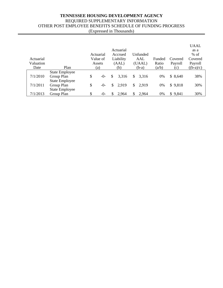## **TENNESSEE HOUSING DEVELOPMENT AGENCY**  REQUIRED SUPPLEMENTARY INFORMATION OTHER POST EMPLOYEE BENEFITS SCHEDULE OF FUNDING PROGRESS (Expressed in Thousands)

| Actuarial<br>Valuation<br>Date | Plan                                | Actuarial<br>Value of<br>Assets<br>(a) |    | Actuarial<br>Accrued<br>Liability<br>(AAL)<br>(b) |     | Unfunded<br>AAL<br>(UAAL)<br>$(b-a)$ | Funded<br>Ratio<br>(a/b) | Covered<br>Payroll<br>(c) | <b>UAAL</b><br>as a<br>$%$ of<br>Covered<br>Payroll<br>$((b-a)/c)$ |
|--------------------------------|-------------------------------------|----------------------------------------|----|---------------------------------------------------|-----|--------------------------------------|--------------------------|---------------------------|--------------------------------------------------------------------|
|                                | <b>State Employee</b>               |                                        |    |                                                   |     |                                      |                          |                           |                                                                    |
| 7/1/2010                       | Group Plan                          | \$<br>$-0-$                            | \$ | 3,316                                             | \$. | 3,316                                | 0%                       | \$8,640                   | 38%                                                                |
| 7/1/2011                       | <b>State Employee</b><br>Group Plan | \$<br>$-0-$                            | S  | 2,919                                             | \$  | 2,919                                | 0%                       | \$9,818                   | 30%                                                                |
|                                | <b>State Employee</b>               |                                        |    |                                                   |     |                                      |                          |                           |                                                                    |
| 7/1/2013                       | Group Plan                          | $-()$ -                                | S  | 2.964                                             | \$  | 2,964                                | 0%                       | \$9,841                   | 30%                                                                |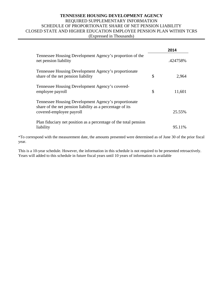## **TENNESSEE HOUSING DEVELOPMENT AGENCY**

### REQUIRED SUPPLEMENTARY INFORMATION SCHEDULE OF PROPORTIONATE SHARE OF NET PENSION LIABILITY CLOSED STATE AND HIGHER EDUCATION EMPLOYEE PENSION PLAN WITHIN TCRS (Expressed in Thousands)

|                                                                                                                                               | 2014         |
|-----------------------------------------------------------------------------------------------------------------------------------------------|--------------|
| Tennessee Housing Development Agency's proportion of the<br>net pension liability                                                             | .424758%     |
| Tennessee Housing Development Agency's proportionate<br>share of the net pension liability                                                    | \$<br>2,964  |
| Tennessee Housing Development Agency's covered-<br>employee payroll                                                                           | \$<br>11,601 |
| Tennessee Housing Development Agency's proportionate<br>share of the net pension liability as a percentage of its<br>covered-employee payroll | 25.55%       |
| Plan fiduciary net position as a percentage of the total pension<br>liability                                                                 | 95.11%       |

\*To correspond with the measurement date, the amounts presented were determined as of June 30 of the prior fiscal year.

This is a 10-year schedule. However, the information in this schedule is not required to be presented retroactively. Years will added to this schedule in future fiscal years until 10 years of information is available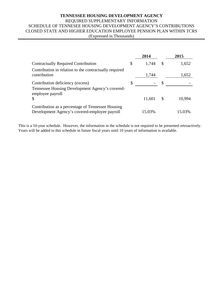#### **TENNESSEE HOUSING DEVELOPMENT AGENCY**

## REQUIRED SUPPLEMENTARY INFORMATION SCHEDULE OF TENNESEE HOUSING DEVELOPMENT AGENCY'S CONTRIBUTIONS CLOSED STATE AND HIGHER EDUCATION EMPLOYEE PENSION PLAN WITHIN TCRS (Expressed in Thousands)

|                                                                                                    | 2014        |               | 2015   |
|----------------------------------------------------------------------------------------------------|-------------|---------------|--------|
| <b>Contractually Required Contribution</b>                                                         | \$<br>1,744 | \$            | 1,652  |
| Contribution in relation to the contractually required<br>contribution                             | 1,744       |               | 1,652  |
| Contribution deficiency (excess)                                                                   | \$          | $\mathcal{S}$ |        |
| Tennessee Housing Development Agency's covered-<br>employee payroll                                | 11,601      | S             | 10,994 |
|                                                                                                    |             |               |        |
| Contribution as a percentage of Tennessee Housing<br>Development Agency's covered-employee payroll | 15.03%      |               | 15.03% |

This is a 10-year schedule. However, the information in the schedule is not required to be presented retroactively. Years will be added to this schedule in future fiscal years until 10 years of information is available.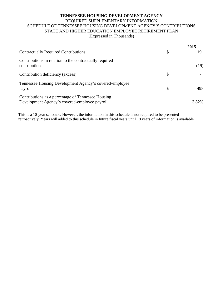## **TENNESSEE HOUSING DEVELOPMENT AGENCY**  REQUIRED SUPPLEMENTARY INFORMATION SCHEDULE OF TENNESSEE HOUSING DEVELOPMENT AGENCY'S CONTRIBUTIONS STATE AND HIGHER EDUCATION EMPLOYEE RETIREMENT PLAN (Expressed in Thousands)

|                                                                                                     | 2015      |
|-----------------------------------------------------------------------------------------------------|-----------|
| <b>Contractually Required Contributions</b>                                                         | \$<br>19  |
| Contributions in relation to the contractually required<br>contribution                             | (19)      |
| Contribution deficiency (excess)                                                                    | \$        |
| Tennessee Housing Development Agency's covered-employee<br>payroll                                  | \$<br>498 |
| Contributions as a percentage of Tennessee Housing<br>Development Agency's covered-employee payroll | 3.82%     |

This is a 10-year schedule. However, the information in this schedule is not required to be presented retroactively. Years will added to this schedule in future fiscal years until 10 years of information is available.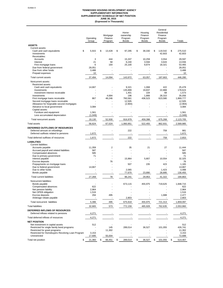#### **TENNESSEE HOUSING DEVELOPMENT AGENCY SUPPLEMENTARY INFORMATION (Expressed in Thousands) SUPPLEMENTARY SCHEDULE OF NET POSITION JUNE 30, 2015**

|                                                                        | Operating<br>Group | Mortgage<br>Finance<br>Program | Home-<br>ownership<br>Program<br><b>Bonds</b> | Housing<br>Finance<br>Program<br><b>Bonds</b> | General<br>Residential<br>Finance<br>Program<br><b>Bonds</b> | Totals                  |
|------------------------------------------------------------------------|--------------------|--------------------------------|-----------------------------------------------|-----------------------------------------------|--------------------------------------------------------------|-------------------------|
| <b>ASSETS</b><br>Current assets:                                       |                    |                                |                                               |                                               |                                                              |                         |
| \$<br>Cash and cash equivalents<br>Investments                         | 5,915              | \$<br>13,428                   | \$<br>97,295                                  | \$<br>39,330                                  | \$<br>119.542<br>42,603                                      | \$<br>275,510<br>42,603 |
| Receivables:                                                           |                    |                                |                                               |                                               |                                                              |                         |
| Accounts<br>Interest                                                   | 3<br>21            | 444<br>58                      | 15,337<br>6,240                               | 10,259<br>3,594                               | 3,554<br>3,643                                               | 29,597<br>13,556        |
| First mortgage loans                                                   | 6                  | 164                            | 25,100                                        | 9,874                                         | 18,321                                                       | 53,465                  |
| Due from federal government                                            | 28,051             |                                |                                               |                                               |                                                              | 28.051                  |
| Due from other funds                                                   | 3.488              |                                |                                               | ÷.                                            |                                                              | 3,488                   |
| Prepaid expenses                                                       | 10                 | $\overline{\phantom{a}}$       |                                               | $\overline{a}$                                |                                                              | 10                      |
| Total current assets                                                   | 37,494             | 14,094                         | 143,972                                       | 63,057                                        | 187,663                                                      | 446,280                 |
| Noncurrent assets:<br>Restricted assets:                               |                    |                                |                                               |                                               |                                                              |                         |
| Cash and cash equivalents                                              | 14,667             |                                | 9,321                                         | 1,068                                         | 422                                                          | 25,478                  |
| Investments                                                            |                    |                                | 135,899                                       | 19,837                                        | 22,888                                                       | 178,624                 |
| Investment Interest receivable<br>Investments                          |                    | 4,684                          | 1,401<br>196                                  | 104<br>1,866                                  | 68                                                           | 1,573<br>35,056         |
| First mortgage loans receivable                                        | 867                | 48,246                         | 760,561                                       | 436,523                                       | 28,310<br>623,580                                            | 1,869,777               |
| Second mortgage loans receivable                                       |                    |                                | 12,505                                        |                                               |                                                              | 12,505                  |
| Allowance for forgivable second mortgages                              |                    |                                | (2,904)                                       |                                               |                                                              | (2,904)                 |
| Advance to local government<br>Capital assets:                         | 3,084              |                                |                                               |                                               |                                                              | 3,084                   |
| Furniture and equipment                                                | 1,561              |                                |                                               |                                               |                                                              | 1,561                   |
| Less accumulated depreciation                                          | (1,049)            |                                |                                               |                                               |                                                              | (1,049)                 |
| Total noncurrent assets                                                | 19,130             | 52,930                         | 916,979                                       | 459,398                                       | 675,268                                                      | 2,123,705               |
| <b>Total assets</b>                                                    | 56,624             | 67,024                         | 1,060,951                                     | 522,455                                       | 862,931                                                      | 2,569,985               |
| DEFERRED OUTFLOWS OF RESOURCES                                         |                    |                                |                                               |                                               |                                                              |                         |
| Deferred amount on refundings<br>Deferred outflows related to pensions | 1,672              |                                | 222                                           | L,<br>$\overline{\phantom{a}}$                | 759<br>$\overline{\phantom{a}}$                              | 981<br>1,672            |
| Total deferred outflows of resources                                   | 1,672              | $\overline{a}$                 | 222                                           |                                               | 759                                                          | 2,653                   |
| <b>LIABILITIES</b>                                                     |                    |                                |                                               |                                               |                                                              |                         |
| Current liabilities:                                                   |                    |                                |                                               |                                               |                                                              |                         |
| Accounts payable                                                       | 11,359             | 2                              | 35                                            | 21                                            | 27                                                           | 11,444                  |
| Accrued payroll and related liabilities                                | 587                |                                |                                               |                                               |                                                              | 587                     |
| Compensated absences<br>Due to primary government                      | 585<br>71          |                                |                                               |                                               |                                                              | 585<br>71               |
| Interest payable                                                       |                    | ÷.                             | 15,964                                        | 5,807                                         | 10,554                                                       | 32,325                  |
| <b>Escrow deposits</b>                                                 |                    | 76                             |                                               |                                               |                                                              | 76                      |
| Prepayments on mortgage loans                                          |                    |                                | 507                                           | 235                                           | 423                                                          | 1,165                   |
| Due to federal government<br>Due to other funds                        | 14,667             |                                | 2,065                                         |                                               | 1,423                                                        | 14,667<br>3,488         |
| Bonds payable                                                          |                    | $\overline{\phantom{a}}$       | 77,670                                        | 23,890                                        | 28,895                                                       | 130,455                 |
| <b>Total current liabilities</b>                                       | 27,269             | 78                             | 96,241                                        | 29,953                                        | 41,322                                                       | 194,863                 |
| Noncurrent liabilities:                                                |                    |                                |                                               |                                               |                                                              |                         |
| Bonds payable                                                          |                    |                                | 673,115                                       | 455,975                                       | 719.625                                                      | 1,848,715               |
| Compensated absences                                                   | 622<br>2.964       |                                |                                               |                                               |                                                              | 622<br>2.964            |
| Net pension liability<br>Net OPEB obligation                           | 1,516              |                                | $\overline{a}$                                |                                               |                                                              | 1,516                   |
| Escrow deposits                                                        | 294                | 495                            |                                               | L,                                            | 1,688                                                        | 2,477                   |
| Arbitrage rebate payable                                               |                    |                                | 2,803                                         |                                               |                                                              | 2,803                   |
| Total noncurrent liabilities                                           | 5,396              | 495                            | 675,918                                       | 455,975                                       | 721,313                                                      | 1,859,097               |
| <b>Total liabilities</b>                                               | 32,665             | 573                            | 772,159                                       | 485,928                                       | 762,635                                                      | 2,053,960               |
| DEFERRED INFLOWS OF RESOURCES<br>Deferred inflows related to pensions  | 4,271              |                                |                                               |                                               |                                                              | 4,271                   |
| Total deferred inflows of resources                                    | 4,271              | $\sim$                         |                                               |                                               |                                                              | 4,271                   |
| <b>NET POSITION</b>                                                    |                    |                                |                                               |                                               |                                                              |                         |
| Net investment in capital assets                                       | 512                | $\overline{a}$                 |                                               |                                               |                                                              | 512                     |
| Restricted for single family bond programs                             |                    | 145                            | 289,014                                       | 36,527                                        | 101,055                                                      | 426,741                 |
| Restricted for grant programs                                          |                    | 11,302                         |                                               |                                               |                                                              | 11,302                  |
| Restricted for Homebuyers Revolving Loan Program<br>Unrestricted       | 3,153<br>17,695    | 55,004                         |                                               |                                               |                                                              | 3,153<br>72,699         |
| Total net position<br>\$                                               | 21,360             | \$<br>66,451                   | \$<br>289,014                                 | \$<br>36,527                                  | \$<br>101,055                                                | \$<br>514,407           |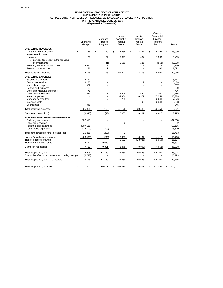# TENNESSEE HOUSING DEVELOPMENT AGENCY<br>SUPPLEMENTARY SCHEDULE OF REVENUES, EXPENSES, AND CHANGES IN NET POSITION<br>FOR THE YEAR ENDED JUNE 30, 2015<br>FOR THE YEAR ENDED JUNE 30, 2015<br>Expressed in Thousands)

|                                                       | Operating<br>Group | Mortgage<br>Finance<br>Program | Home-<br>ownership<br>Program<br>Bonds | Housing<br>Finance<br>Program<br><b>Bonds</b> | General<br>Residential<br>Finance<br>Program<br><b>Bonds</b> | Totals         |
|-------------------------------------------------------|--------------------|--------------------------------|----------------------------------------|-----------------------------------------------|--------------------------------------------------------------|----------------|
| <b>OPERATING REVENUES</b>                             |                    |                                |                                        |                                               |                                                              |                |
| \$<br>Mortgage interest income                        | 36                 | \$<br>119                      | \$<br>47,964                           | \$<br>23,487                                  | \$<br>25,393                                                 | \$<br>96,999   |
| Investment income:<br>Interest                        | 29                 | 27                             | 7,827                                  | 664                                           | 1,866                                                        | 10,413         |
| Net increase (decrease) in the fair value             |                    |                                |                                        |                                               |                                                              |                |
| of investments                                        |                    | (1)                            | (3,550)                                | 225                                           | (552)                                                        | (3,878)        |
| Federal grant administration fees                     | 14,920             | ٠                              |                                        |                                               |                                                              | 14,920         |
| Fees and other income                                 | 1,431              | 1                              |                                        |                                               | 160                                                          | 1,592          |
| Total operating revenues                              | 16,416             | 146                            | 52,241                                 | 24,376                                        | 26,867                                                       | 120,046        |
| <b>OPERATING EXPENSES</b>                             |                    |                                |                                        |                                               |                                                              |                |
| Salaries and benefits                                 | 15,147             |                                |                                        | $\overline{a}$                                |                                                              | 15,147         |
| Contractual services                                  | 6,475              |                                | 1                                      | $\overline{2}$                                |                                                              | 6,478          |
| Materials and supplies                                | 657                |                                |                                        |                                               |                                                              | 657            |
| Rentals and insurance                                 | 30                 |                                |                                        |                                               |                                                              | 30             |
| Other administrative expenses                         | 476                |                                |                                        |                                               |                                                              | 476            |
| Other program expenses                                | 1,931              | 108                            | 6,596                                  | 549                                           | 1.001                                                        | 10,185         |
| Interest expense                                      |                    | 87                             | 32,354                                 | 16,977                                        | 17,058                                                       | 66,389         |
| Mortgage service fees                                 |                    |                                | 3,225                                  | 1,716<br>1,195                                | 2,048<br>2,343                                               | 7,076<br>3,538 |
| <b>Issuance costs</b><br>Depreciation                 | 345                | $\blacksquare$                 |                                        |                                               |                                                              | 345            |
|                                                       |                    |                                |                                        |                                               |                                                              |                |
| Total operating expenses                              | 25,061             | 195                            | 42,176                                 | 20,439                                        | 22,450                                                       | 110,321        |
| Operating income (loss)                               | (8,645)            | (49)                           | 10,065                                 | 3,937                                         | 4,417                                                        | 9,725          |
| <b>NONOPERATING REVENUES (EXPENSES)</b>               |                    |                                |                                        |                                               |                                                              |                |
| Federal grants revenue                                | 307,010            |                                |                                        |                                               |                                                              | 307,010        |
| Other grant revenue                                   |                    |                                | 2                                      |                                               |                                                              | $\overline{2}$ |
| Federal grants expenses                               | (307, 165)         |                                |                                        |                                               |                                                              | (307, 165)     |
| Local grants expenses                                 | (15, 100)          | (200)                          | $\overline{a}$                         |                                               |                                                              | (15, 300)      |
| Total nonoperating revenues (expenses)                | (15, 255)          | (200)                          | $\overline{\mathbf{c}}$                |                                               |                                                              | (15, 453)      |
| Income (loss) before transfers                        | (23,900)           | (249)                          | 10,067                                 | 3,937                                         | 4,417                                                        | (5, 728)       |
| Transfers (to) other funds                            |                    |                                | (3,592)                                | (13,036)                                      | (9,069)                                                      | (25, 697)      |
| Transfers from other funds                            | 16,147             | 9,550                          |                                        |                                               |                                                              | 25,697         |
| Change in net position                                | (7, 753)           | 9.301                          | 6,475                                  | (9,099)                                       | (4,652)                                                      | (5, 728)       |
| Total net position, July 1                            | 35,906             | 57,150                         | 282,539                                | 45,626                                        | 105,707                                                      | 526,928        |
| Cumulative effect of a change in accounting principle | (6, 793)           |                                |                                        |                                               |                                                              | (6, 793)       |
| Total net position, July 1, as restated               | 29,113             | 57,150                         | 282,539                                | 45,626                                        | 105,707                                                      | 520,135        |
|                                                       |                    |                                |                                        |                                               |                                                              |                |
| \$<br>Total net position, June 30                     | 21,360             | \$<br>66.451                   | \$<br>289,014                          | \$<br>36.527                                  | \$<br>101.055                                                | \$<br>514,407  |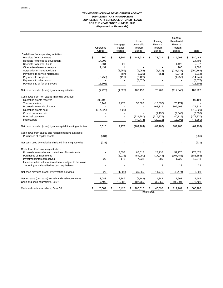#### **TENNESSEE HOUSING DEVELOPMENT AGENCY SUPPLEMENTARY INFORMATION SUPPLEMENTARY SCHEDULE OF CASH FLOWS FOR THE YEAR ENDED JUNE 30, 2015 (Expressed in Thousands)**

|                                                                                                             | Operating<br>Group | Mortgage<br>Finance<br>Program |     | Home-<br>ownership<br>Program<br><b>Bonds</b> |             | Housing<br>Finance<br>Program<br><b>Bonds</b> | General<br>Residential<br>Finance<br>Program<br><b>Bonds</b> | Totals                |
|-------------------------------------------------------------------------------------------------------------|--------------------|--------------------------------|-----|-----------------------------------------------|-------------|-----------------------------------------------|--------------------------------------------------------------|-----------------------|
| Cash flows from operating activities:<br>Receipts from customers                                            | \$<br>360          | \$<br>3.809                    | \$  | 182,632                                       | S           | 78,039                                        | \$<br>115.608                                                | \$<br>380.448         |
| Receipts from federal government                                                                            | 14,708             |                                |     |                                               |             |                                               |                                                              | 14,708                |
| Receipts from other funds                                                                                   | 3,634              | 20                             |     |                                               |             |                                               | 1,423                                                        | 5,077                 |
| Other miscellaneous receipts                                                                                | 1,431              | 1                              |     |                                               |             |                                               | 160                                                          | 1,592                 |
| Acquisition of mortgage loans                                                                               |                    | (8,259)                        |     | (9,052)                                       |             | (1,716)                                       | (231, 737)                                                   | (250, 764)            |
| Payments to service mortgages                                                                               |                    | (87)                           |     | (3,225)                                       |             | (554)                                         | (2,048)                                                      | (5,914)               |
| Payments to suppliers                                                                                       | (10, 755)          | (110)                          |     | (2, 128)                                      |             |                                               | (1,252)                                                      | (14, 245)             |
| Payments to other funds                                                                                     |                    |                                |     | (5,077)                                       |             |                                               |                                                              | (5,077)               |
| Payments to or for employees                                                                                | (16, 603)          | $\blacksquare$                 |     |                                               |             |                                               |                                                              | (16, 603)             |
|                                                                                                             |                    |                                |     |                                               |             |                                               |                                                              |                       |
| Net cash provided (used) by operating activities                                                            | (7, 225)           | (4,626)                        |     | 163,150                                       |             | 75,769                                        | (117, 846)                                                   | 109,222               |
| Cash flows from non-capital financing activities:                                                           |                    |                                |     |                                               |             |                                               |                                                              |                       |
| Operating grants received                                                                                   | 309,192            |                                |     | $\overline{2}$                                |             |                                               |                                                              | 309,194               |
| Transfers in (out)                                                                                          | 16,147             | 9,475                          |     | 57,588                                        |             | (13,036)                                      | (70, 174)                                                    |                       |
| Proceeds from sale of bonds                                                                                 |                    |                                |     |                                               |             | 168,316                                       | 309,508                                                      | 477,824               |
| Operating grants paid                                                                                       | (314, 829)         | (200)                          |     |                                               |             |                                               |                                                              | (315, 029)            |
| Cost of issuance paid                                                                                       |                    |                                |     |                                               |             | (1, 195)                                      | (2,343)                                                      | (3,538)               |
| Principal payments                                                                                          |                    |                                |     | (221, 280)                                    |             | (215, 875)                                    | (40, 715)                                                    | (477, 870)            |
| Interest paid                                                                                               |                    | $\sim$                         |     | (40,474)                                      |             | (20, 913)                                     | (13,993)                                                     | (75, 380)             |
| Net cash provided (used) by non-capital financing activities                                                | 10,510             | 9,275                          |     | (204, 164)                                    |             | (82, 703)                                     | 182,283                                                      | (84, 799)             |
| Cash flows from capital and related financing activities:                                                   |                    |                                |     |                                               |             |                                               |                                                              |                       |
| Purchases of capital assets                                                                                 | (231)              |                                |     |                                               |             |                                               |                                                              | (231)                 |
| Net cash used by capital and related financing activities                                                   | (231)              |                                |     |                                               |             |                                               |                                                              | (231)                 |
| Cash flows from investing activities:                                                                       |                    |                                |     |                                               |             |                                               |                                                              |                       |
| Proceeds from sales and maturities of investments                                                           |                    |                                |     |                                               |             |                                               |                                                              |                       |
| Purchases of investments                                                                                    |                    | 3,055<br>(5,036)               |     | 86,016                                        |             | 28,137                                        | 59,270                                                       | 176,478<br>(183, 656) |
|                                                                                                             | 29                 | 178                            |     | (54,090)                                      |             | (17, 044)<br>680                              | (107, 486)                                                   |                       |
| Investment interest received                                                                                |                    |                                |     | 7,932                                         |             |                                               | 1,729                                                        | 10,548                |
| Increase in fair value of investments subject to fair value<br>reporting and classified as cash equivalents |                    |                                |     | 7                                             |             | 3                                             | 13                                                           | 23                    |
| Net cash provided (used) by investing activities                                                            | 29                 | (1,803)                        |     | 39,865                                        |             | 11,776                                        | (46, 474)                                                    | 3,393                 |
| Net increase (decrease) in cash and cash equivalents                                                        | 3,083              | 2,846                          |     | (1, 149)                                      |             | 4,842                                         | 17,963                                                       | 27,585                |
| Cash and cash equivalents, July 1                                                                           | 17,499             | 10,582                         |     | 107,765                                       |             | 35,556                                        | 102,001                                                      | 273,403               |
| Cash and cash equivalents, June 30                                                                          | \$<br>20,582       | 13,428                         | \$. | 106,616                                       | (continued) | 40,398                                        | \$<br>119,964                                                | \$<br>300,988         |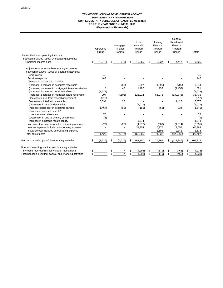#### **TENNESSEE HOUSING DEVELOPMENT AGENCY SUPPLEMENTARY INFORMATION SUPPLEMENTARY SCHEDULE OF CASH FLOWS (cont.) FOR THE YEAR ENDED JUNE 30, 2015 (Expressed in Thousands)**

|                                                            | Operating<br>Group | Mortgage<br>Finance<br>Program |     | Home-<br>ownership<br>Program<br><b>Bonds</b> | Housing<br>Finance<br>Program<br><b>Bonds</b> |     | General<br>Residential<br>Finance<br>Program<br><b>Bonds</b> | <b>Totals</b> |
|------------------------------------------------------------|--------------------|--------------------------------|-----|-----------------------------------------------|-----------------------------------------------|-----|--------------------------------------------------------------|---------------|
| Reconciliation of operating income to                      |                    |                                |     |                                               |                                               |     |                                                              |               |
| net cash provided (used) by operating activities:          |                    |                                |     |                                               |                                               |     |                                                              |               |
| Operating income (loss)                                    | \$<br>(8,645)      | \$<br>(49)                     | \$. | 10,065                                        | \$<br>3,937                                   | \$  | 4,417                                                        | \$<br>9,725   |
| Adjustments to reconcile operating income to               |                    |                                |     |                                               |                                               |     |                                                              |               |
| net cash provided (used) by operating activities:          |                    |                                |     |                                               |                                               |     |                                                              |               |
| Depreciation                                               | 345                |                                |     |                                               |                                               |     |                                                              | 345           |
| Pension expense                                            | 442                |                                |     |                                               |                                               |     |                                                              | 442           |
| Changes in assets and liabilities:                         |                    |                                |     |                                               |                                               |     |                                                              |               |
| (Increase) decrease in accounts receivable                 |                    | (53)                           |     | 5,997                                         | (1,895)                                       |     | (705)                                                        | 3,344         |
| (Increase) decrease in mortgage interest receivable        | 8                  | 45                             |     | 1,486                                         | 239                                           |     | (1, 457)                                                     | 321           |
| (Increase) in deferred pension outflows                    | (1,672)            |                                |     |                                               |                                               |     |                                                              | (1,672)       |
| (Increase) decrease in mortgage loans receivable           | 294                | (4,501)                        |     | 121,214                                       | 56,273                                        |     | (139, 845)                                                   | 33,435        |
| Decrease in due from federal government                    | (212)              |                                |     |                                               |                                               |     |                                                              | (212)         |
| Decrease in interfund receivables                          | 3,634              | 20                             |     |                                               |                                               |     | 1,423                                                        | 5,077         |
| (Decrease) in interfund payables                           |                    |                                |     | (5,077)                                       |                                               |     |                                                              | (5,077)       |
| Increase (decrease) in accounts payable                    | (1, 464)           | (62)                           |     | (186)                                         | (68)                                          |     | 234                                                          | (1,546)       |
| Increase in accrued payroll /                              |                    |                                |     |                                               |                                               |     |                                                              |               |
| compensated absences                                       | 75                 |                                |     |                                               |                                               |     |                                                              | 75            |
| (Decrease) in due to primary government                    | (1)                |                                |     |                                               |                                               |     |                                                              | (1)           |
| Increase in arbitrage rebate liability                     |                    |                                |     | 1,574                                         |                                               |     |                                                              | 1,574         |
| Investment income included as operating revenue            | (29)               | (26)                           |     | (4,277)                                       | (889)                                         |     | (1, 314)                                                     | (6, 535)      |
| Interest expense included as operating expense             |                    |                                |     | 32,354                                        | 16,977                                        |     | 17,058                                                       | 66,389        |
| Issuance cost included as operating expense                |                    |                                |     |                                               | 1,195                                         |     | 2,343                                                        | 3,538         |
| Total adjustments                                          | 1.420              | (4, 577)                       |     | 153,085                                       | 71,832                                        |     | (122, 263)                                                   | 99,497        |
| Net cash provided (used) by operating activities           | \$<br>(7, 225)     | \$<br>(4,626)                  | \$  | 163,150                                       | 75,769                                        | \$. | (117, 846)                                                   | \$<br>109,222 |
| Noncash investing, capital, and financing activities:      |                    |                                |     |                                               |                                               |     |                                                              |               |
| Increase (decrease) in fair value of investments           | \$                 | \$<br>7                        | \$  | (4, 298)                                      | \$<br>(179)                                   | \$  | (463)                                                        | \$<br>(4,933) |
| Total noncash investing, capital, and financing activities |                    | $\overline{7}$                 |     | (4, 298)                                      | (179)                                         |     | (463)                                                        | (4,933)       |